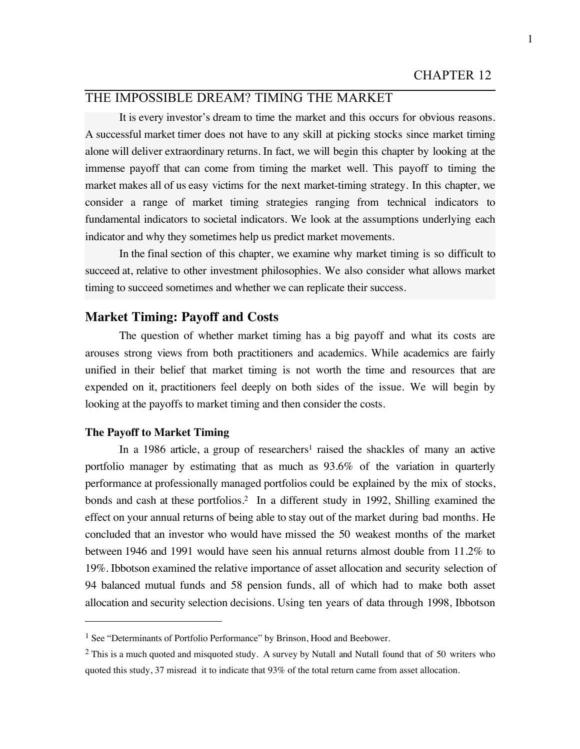# THE IMPOSSIBLE DREAM? TIMING THE MARKET

It is every investor's dream to time the market and this occurs for obvious reasons. A successful market timer does not have to any skill at picking stocks since market timing alone will deliver extraordinary returns. In fact, we will begin this chapter by looking at the immense payoff that can come from timing the market well. This payoff to timing the market makes all of us easy victims for the next market-timing strategy. In this chapter, we consider a range of market timing strategies ranging from technical indicators to fundamental indicators to societal indicators. We look at the assumptions underlying each indicator and why they sometimes help us predict market movements.

In the final section of this chapter, we examine why market timing is so difficult to succeed at, relative to other investment philosophies. We also consider what allows market timing to succeed sometimes and whether we can replicate their success.

## **Market Timing: Payoff and Costs**

The question of whether market timing has a big payoff and what its costs are arouses strong views from both practitioners and academics. While academics are fairly unified in their belief that market timing is not worth the time and resources that are expended on it, practitioners feel deeply on both sides of the issue. We will begin by looking at the payoffs to market timing and then consider the costs.

### **The Payoff to Market Timing**

 $\overline{a}$ 

In a 1986 article, a group of researchers<sup>1</sup> raised the shackles of many an active portfolio manager by estimating that as much as 93.6% of the variation in quarterly performance at professionally managed portfolios could be explained by the mix of stocks, bonds and cash at these portfolios.<sup>2</sup> In a different study in 1992, Shilling examined the effect on your annual returns of being able to stay out of the market during bad months. He concluded that an investor who would have missed the 50 weakest months of the market between 1946 and 1991 would have seen his annual returns almost double from 11.2% to 19%. Ibbotson examined the relative importance of asset allocation and security selection of 94 balanced mutual funds and 58 pension funds, all of which had to make both asset allocation and security selection decisions. Using ten years of data through 1998, Ibbotson

<sup>&</sup>lt;sup>1</sup> See "Determinants of Portfolio Performance" by Brinson, Hood and Beebower.

 $2$  This is a much quoted and misquoted study. A survey by Nutall and Nutall found that of 50 writers who quoted this study, 37 misread it to indicate that 93% of the total return came from asset allocation.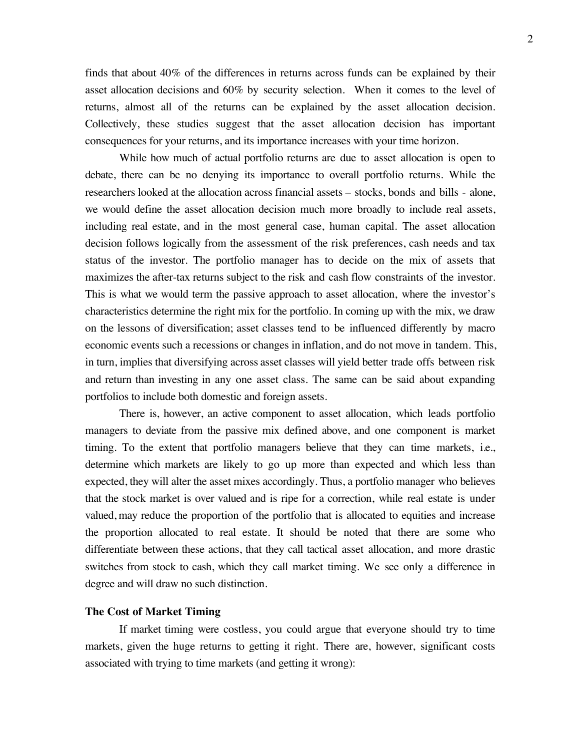finds that about 40% of the differences in returns across funds can be explained by their asset allocation decisions and 60% by security selection. When it comes to the level of returns, almost all of the returns can be explained by the asset allocation decision. Collectively, these studies suggest that the asset allocation decision has important consequences for your returns, and its importance increases with your time horizon.

While how much of actual portfolio returns are due to asset allocation is open to debate, there can be no denying its importance to overall portfolio returns. While the researchers looked at the allocation across financial assets – stocks, bonds and bills - alone, we would define the asset allocation decision much more broadly to include real assets, including real estate, and in the most general case, human capital. The asset allocation decision follows logically from the assessment of the risk preferences, cash needs and tax status of the investor. The portfolio manager has to decide on the mix of assets that maximizes the after-tax returns subject to the risk and cash flow constraints of the investor. This is what we would term the passive approach to asset allocation, where the investor's characteristics determine the right mix for the portfolio. In coming up with the mix, we draw on the lessons of diversification; asset classes tend to be influenced differently by macro economic events such a recessions or changes in inflation, and do not move in tandem. This, in turn, implies that diversifying across asset classes will yield better trade offs between risk and return than investing in any one asset class. The same can be said about expanding portfolios to include both domestic and foreign assets.

There is, however, an active component to asset allocation, which leads portfolio managers to deviate from the passive mix defined above, and one component is market timing. To the extent that portfolio managers believe that they can time markets, i.e., determine which markets are likely to go up more than expected and which less than expected, they will alter the asset mixes accordingly. Thus, a portfolio manager who believes that the stock market is over valued and is ripe for a correction, while real estate is under valued, may reduce the proportion of the portfolio that is allocated to equities and increase the proportion allocated to real estate. It should be noted that there are some who differentiate between these actions, that they call tactical asset allocation, and more drastic switches from stock to cash, which they call market timing. We see only a difference in degree and will draw no such distinction.

#### **The Cost of Market Timing**

If market timing were costless, you could argue that everyone should try to time markets, given the huge returns to getting it right. There are, however, significant costs associated with trying to time markets (and getting it wrong):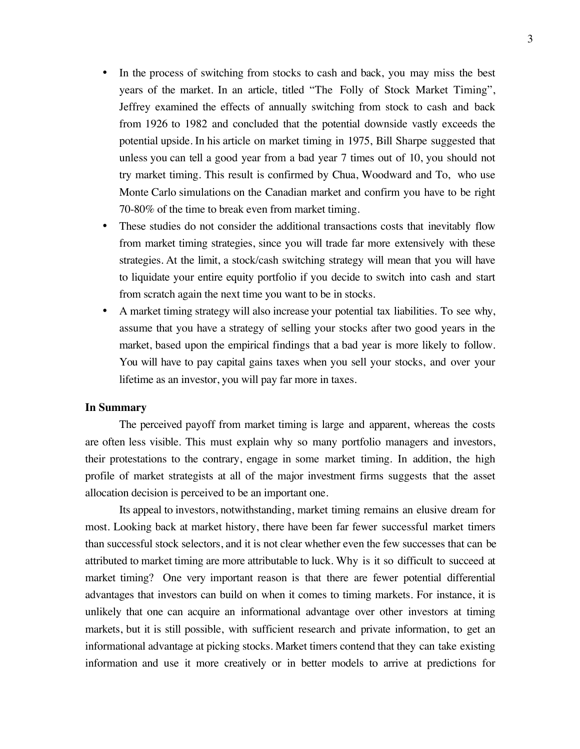- In the process of switching from stocks to cash and back, you may miss the best years of the market. In an article, titled "The Folly of Stock Market Timing", Jeffrey examined the effects of annually switching from stock to cash and back from 1926 to 1982 and concluded that the potential downside vastly exceeds the potential upside. In his article on market timing in 1975, Bill Sharpe suggested that unless you can tell a good year from a bad year 7 times out of 10, you should not try market timing. This result is confirmed by Chua, Woodward and To, who use Monte Carlo simulations on the Canadian market and confirm you have to be right 70-80% of the time to break even from market timing.
- These studies do not consider the additional transactions costs that inevitably flow from market timing strategies, since you will trade far more extensively with these strategies. At the limit, a stock/cash switching strategy will mean that you will have to liquidate your entire equity portfolio if you decide to switch into cash and start from scratch again the next time you want to be in stocks.
- A market timing strategy will also increase your potential tax liabilities. To see why, assume that you have a strategy of selling your stocks after two good years in the market, based upon the empirical findings that a bad year is more likely to follow. You will have to pay capital gains taxes when you sell your stocks, and over your lifetime as an investor, you will pay far more in taxes.

### **In Summary**

The perceived payoff from market timing is large and apparent, whereas the costs are often less visible. This must explain why so many portfolio managers and investors, their protestations to the contrary, engage in some market timing. In addition, the high profile of market strategists at all of the major investment firms suggests that the asset allocation decision is perceived to be an important one.

Its appeal to investors, notwithstanding, market timing remains an elusive dream for most. Looking back at market history, there have been far fewer successful market timers than successful stock selectors, and it is not clear whether even the few successes that can be attributed to market timing are more attributable to luck. Why is it so difficult to succeed at market timing? One very important reason is that there are fewer potential differential advantages that investors can build on when it comes to timing markets. For instance, it is unlikely that one can acquire an informational advantage over other investors at timing markets, but it is still possible, with sufficient research and private information, to get an informational advantage at picking stocks. Market timers contend that they can take existing information and use it more creatively or in better models to arrive at predictions for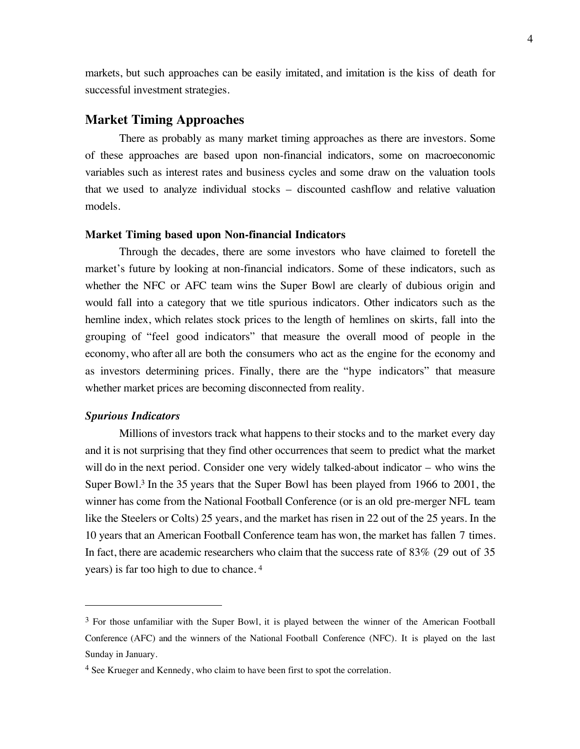markets, but such approaches can be easily imitated, and imitation is the kiss of death for successful investment strategies.

### **Market Timing Approaches**

There as probably as many market timing approaches as there are investors. Some of these approaches are based upon non-financial indicators, some on macroeconomic variables such as interest rates and business cycles and some draw on the valuation tools that we used to analyze individual stocks – discounted cashflow and relative valuation models.

#### **Market Timing based upon Non-financial Indicators**

Through the decades, there are some investors who have claimed to foretell the market's future by looking at non-financial indicators. Some of these indicators, such as whether the NFC or AFC team wins the Super Bowl are clearly of dubious origin and would fall into a category that we title spurious indicators. Other indicators such as the hemline index, which relates stock prices to the length of hemlines on skirts, fall into the grouping of "feel good indicators" that measure the overall mood of people in the economy, who after all are both the consumers who act as the engine for the economy and as investors determining prices. Finally, there are the "hype indicators" that measure whether market prices are becoming disconnected from reality.

#### *Spurious Indicators*

 $\overline{a}$ 

Millions of investors track what happens to their stocks and to the market every day and it is not surprising that they find other occurrences that seem to predict what the market will do in the next period. Consider one very widely talked-about indicator – who wins the Super Bowl.3 In the 35 years that the Super Bowl has been played from 1966 to 2001, the winner has come from the National Football Conference (or is an old pre-merger NFL team like the Steelers or Colts) 25 years, and the market has risen in 22 out of the 25 years. In the 10 years that an American Football Conference team has won, the market has fallen 7 times. In fact, there are academic researchers who claim that the success rate of 83% (29 out of 35 years) is far too high to due to chance. 4

 $3$  For those unfamiliar with the Super Bowl, it is played between the winner of the American Football Conference (AFC) and the winners of the National Football Conference (NFC). It is played on the last Sunday in January.

<sup>&</sup>lt;sup>4</sup> See Krueger and Kennedy, who claim to have been first to spot the correlation.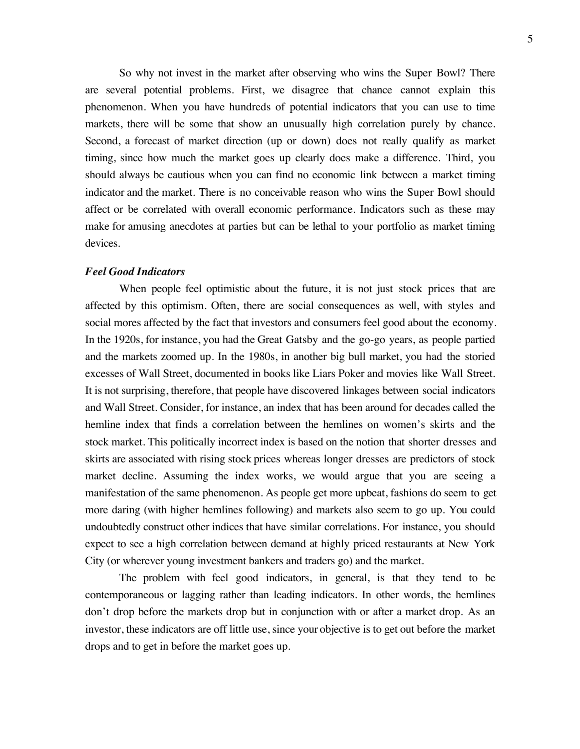So why not invest in the market after observing who wins the Super Bowl? There are several potential problems. First, we disagree that chance cannot explain this phenomenon. When you have hundreds of potential indicators that you can use to time markets, there will be some that show an unusually high correlation purely by chance. Second, a forecast of market direction (up or down) does not really qualify as market timing, since how much the market goes up clearly does make a difference. Third, you should always be cautious when you can find no economic link between a market timing indicator and the market. There is no conceivable reason who wins the Super Bowl should affect or be correlated with overall economic performance. Indicators such as these may make for amusing anecdotes at parties but can be lethal to your portfolio as market timing devices.

#### *Feel Good Indicators*

When people feel optimistic about the future, it is not just stock prices that are affected by this optimism. Often, there are social consequences as well, with styles and social mores affected by the fact that investors and consumers feel good about the economy. In the 1920s, for instance, you had the Great Gatsby and the go-go years, as people partied and the markets zoomed up. In the 1980s, in another big bull market, you had the storied excesses of Wall Street, documented in books like Liars Poker and movies like Wall Street. It is not surprising, therefore, that people have discovered linkages between social indicators and Wall Street. Consider, for instance, an index that has been around for decades called the hemline index that finds a correlation between the hemlines on women's skirts and the stock market. This politically incorrect index is based on the notion that shorter dresses and skirts are associated with rising stock prices whereas longer dresses are predictors of stock market decline. Assuming the index works, we would argue that you are seeing a manifestation of the same phenomenon. As people get more upbeat, fashions do seem to get more daring (with higher hemlines following) and markets also seem to go up. You could undoubtedly construct other indices that have similar correlations. For instance, you should expect to see a high correlation between demand at highly priced restaurants at New York City (or wherever young investment bankers and traders go) and the market.

The problem with feel good indicators, in general, is that they tend to be contemporaneous or lagging rather than leading indicators. In other words, the hemlines don't drop before the markets drop but in conjunction with or after a market drop. As an investor, these indicators are off little use, since your objective is to get out before the market drops and to get in before the market goes up.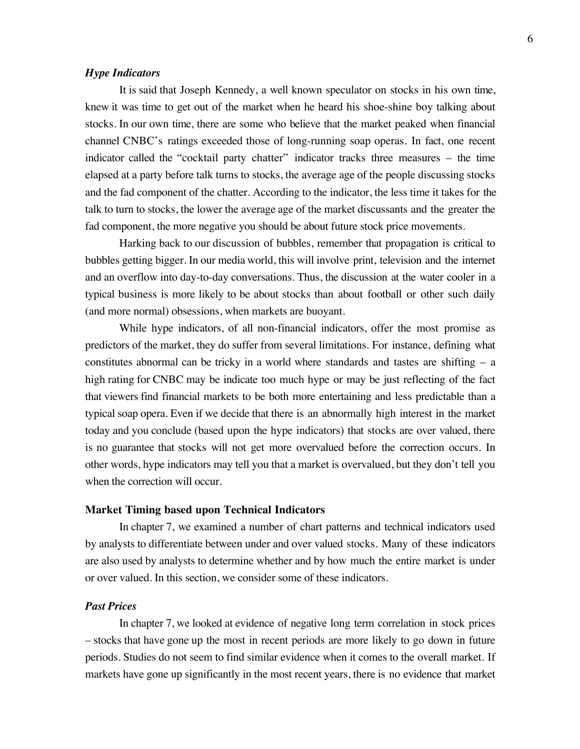### *Hype Indicators*

It is said that Joseph Kennedy, a well known speculator on stocks in his own time, knew it was time to get out of the market when he heard his shoe-shine boy talking about stocks. In our own time, there are some who believe that the market peaked when financial channel CNBC's ratings exceeded those of long-running soap operas. In fact, one recent indicator called the "cocktail party chatter" indicator tracks three measures – the time elapsed at a party before talk turns to stocks, the average age of the people discussing stocks and the fad component of the chatter. According to the indicator, the less time it takes for the talk to turn to stocks, the lower the average age of the market discussants and the greater the fad component, the more negative you should be about future stock price movements.

Harking back to our discussion of bubbles, remember that propagation is critical to bubbles getting bigger. In our media world, this will involve print, television and the internet and an overflow into day-to-day conversations. Thus, the discussion at the water cooler in a typical business is more likely to be about stocks than about football or other such daily (and more normal) obsessions, when markets are buoyant.

While hype indicators, of all non-financial indicators, offer the most promise as predictors of the market, they do suffer from several limitations. For instance, defining what constitutes abnormal can be tricky in a world where standards and tastes are shifting  $-$  a high rating for CNBC may be indicate too much hype or may be just reflecting of the fact that viewers find financial markets to be both more entertaining and less predictable than a typical soap opera. Even if we decide that there is an abnormally high interest in the market today and you conclude (based upon the hype indicators) that stocks are over valued, there is no guarantee that stocks will not get more overvalued before the correction occurs. In other words, hype indicators may tell you that a market is overvalued, but they don't tell you when the correction will occur.

#### **Market Timing based upon Technical Indicators**

In chapter 7, we examined a number of chart patterns and technical indicators used by analysts to differentiate between under and over valued stocks. Many of these indicators are also used by analysts to determine whether and by how much the entire market is under or over valued. In this section, we consider some of these indicators.

### *Past Prices*

In chapter 7, we looked at evidence of negative long term correlation in stock prices – stocks that have gone up the most in recent periods are more likely to go down in future periods. Studies do not seem to find similar evidence when it comes to the overall market. If markets have gone up significantly in the most recent years, there is no evidence that market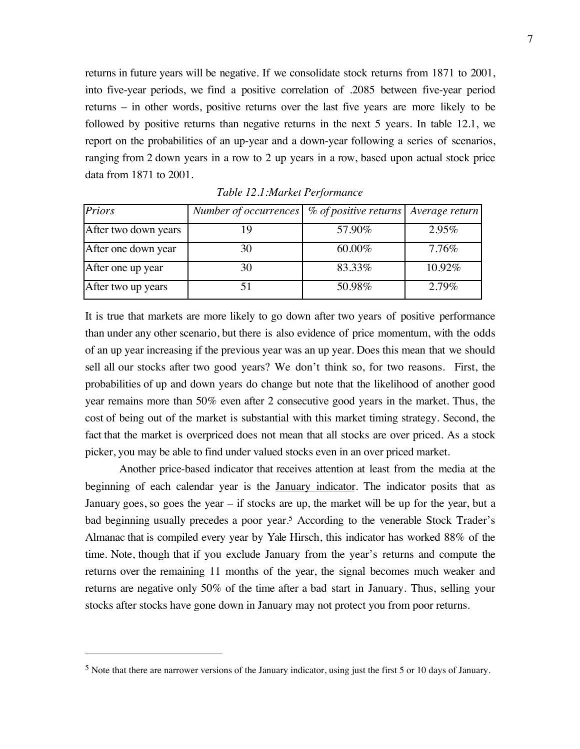returns in future years will be negative. If we consolidate stock returns from 1871 to 2001, into five-year periods, we find a positive correlation of .2085 between five-year period returns – in other words, positive returns over the last five years are more likely to be followed by positive returns than negative returns in the next 5 years. In table 12.1, we report on the probabilities of an up-year and a down-year following a series of scenarios, ranging from 2 down years in a row to 2 up years in a row, based upon actual stock price data from 1871 to 2001.

| <b>Priors</b>        | Number of occurrences | % of positive returns Average return |          |
|----------------------|-----------------------|--------------------------------------|----------|
| After two down years |                       | 57.90%                               | $2.95\%$ |
| After one down year  | 30                    | 60.00%                               | 7.76%    |
| After one up year    | 30                    | 83.33%                               | 10.92%   |
| After two up years   |                       | 50.98%                               | 2.79%    |

*Table 12.1:Market Performance*

It is true that markets are more likely to go down after two years of positive performance than under any other scenario, but there is also evidence of price momentum, with the odds of an up year increasing if the previous year was an up year. Does this mean that we should sell all our stocks after two good years? We don't think so, for two reasons. First, the probabilities of up and down years do change but note that the likelihood of another good year remains more than 50% even after 2 consecutive good years in the market. Thus, the cost of being out of the market is substantial with this market timing strategy. Second, the fact that the market is overpriced does not mean that all stocks are over priced. As a stock picker, you may be able to find under valued stocks even in an over priced market.

Another price-based indicator that receives attention at least from the media at the beginning of each calendar year is the <u>January indicator</u>. The indicator posits that as January goes, so goes the year – if stocks are up, the market will be up for the year, but a bad beginning usually precedes a poor year.5 According to the venerable Stock Trader's Almanac that is compiled every year by Yale Hirsch, this indicator has worked 88% of the time. Note, though that if you exclude January from the year's returns and compute the returns over the remaining 11 months of the year, the signal becomes much weaker and returns are negative only 50% of the time after a bad start in January. Thus, selling your stocks after stocks have gone down in January may not protect you from poor returns.

 $\overline{a}$ 

 $<sup>5</sup>$  Note that there are narrower versions of the January indicator, using just the first 5 or 10 days of January.</sup>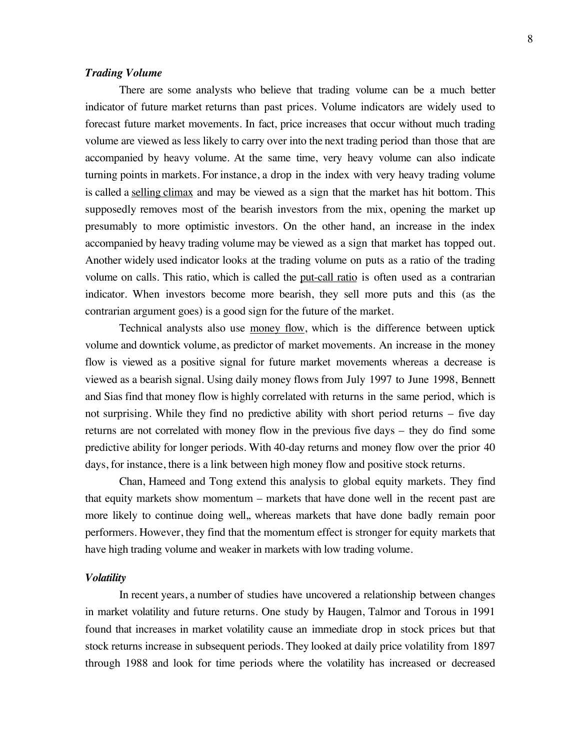#### *Trading Volume*

There are some analysts who believe that trading volume can be a much better indicator of future market returns than past prices. Volume indicators are widely used to forecast future market movements. In fact, price increases that occur without much trading volume are viewed as less likely to carry over into the next trading period than those that are accompanied by heavy volume. At the same time, very heavy volume can also indicate turning points in markets. For instance, a drop in the index with very heavy trading volume is called a selling climax and may be viewed as a sign that the market has hit bottom. This supposedly removes most of the bearish investors from the mix, opening the market up presumably to more optimistic investors. On the other hand, an increase in the index accompanied by heavy trading volume may be viewed as a sign that market has topped out. Another widely used indicator looks at the trading volume on puts as a ratio of the trading volume on calls. This ratio, which is called the put-call ratio is often used as a contrarian indicator. When investors become more bearish, they sell more puts and this (as the contrarian argument goes) is a good sign for the future of the market.

Technical analysts also use money flow, which is the difference between uptick volume and downtick volume, as predictor of market movements. An increase in the money flow is viewed as a positive signal for future market movements whereas a decrease is viewed as a bearish signal. Using daily money flows from July 1997 to June 1998, Bennett and Sias find that money flow is highly correlated with returns in the same period, which is not surprising. While they find no predictive ability with short period returns – five day returns are not correlated with money flow in the previous five days – they do find some predictive ability for longer periods. With 40-day returns and money flow over the prior 40 days, for instance, there is a link between high money flow and positive stock returns.

Chan, Hameed and Tong extend this analysis to global equity markets. They find that equity markets show momentum – markets that have done well in the recent past are more likely to continue doing well,, whereas markets that have done badly remain poor performers. However, they find that the momentum effect is stronger for equity markets that have high trading volume and weaker in markets with low trading volume.

#### *Volatility*

In recent years, a number of studies have uncovered a relationship between changes in market volatility and future returns. One study by Haugen, Talmor and Torous in 1991 found that increases in market volatility cause an immediate drop in stock prices but that stock returns increase in subsequent periods. They looked at daily price volatility from 1897 through 1988 and look for time periods where the volatility has increased or decreased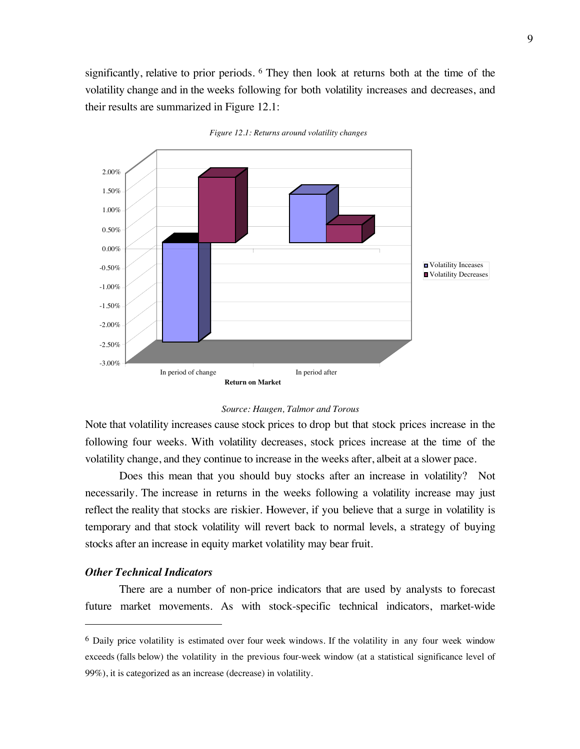significantly, relative to prior periods. <sup>6</sup> They then look at returns both at the time of the volatility change and in the weeks following for both volatility increases and decreases, and their results are summarized in Figure 12.1:



*Figure 12.1: Returns around volatility changes*

#### *Source: Haugen, Talmor and Torous*

Note that volatility increases cause stock prices to drop but that stock prices increase in the following four weeks. With volatility decreases, stock prices increase at the time of the volatility change, and they continue to increase in the weeks after, albeit at a slower pace.

Does this mean that you should buy stocks after an increase in volatility? Not necessarily. The increase in returns in the weeks following a volatility increase may just reflect the reality that stocks are riskier. However, if you believe that a surge in volatility is temporary and that stock volatility will revert back to normal levels, a strategy of buying stocks after an increase in equity market volatility may bear fruit.

#### *Other Technical Indicators*

 $\overline{a}$ 

There are a number of non-price indicators that are used by analysts to forecast future market movements. As with stock-specific technical indicators, market-wide

<sup>&</sup>lt;sup>6</sup> Daily price volatility is estimated over four week windows. If the volatility in any four week window exceeds (falls below) the volatility in the previous four-week window (at a statistical significance level of 99%), it is categorized as an increase (decrease) in volatility.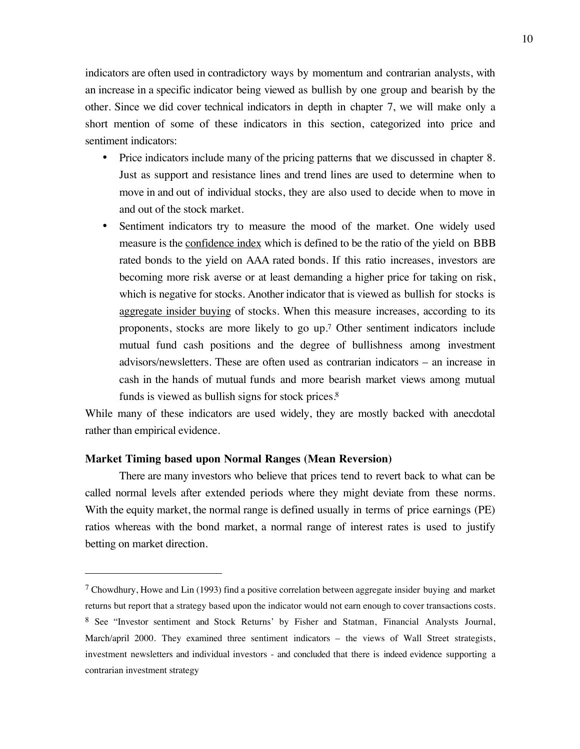indicators are often used in contradictory ways by momentum and contrarian analysts, with an increase in a specific indicator being viewed as bullish by one group and bearish by the other. Since we did cover technical indicators in depth in chapter 7, we will make only a short mention of some of these indicators in this section, categorized into price and sentiment indicators:

- Price indicators include many of the pricing patterns that we discussed in chapter 8. Just as support and resistance lines and trend lines are used to determine when to move in and out of individual stocks, they are also used to decide when to move in and out of the stock market.
- Sentiment indicators try to measure the mood of the market. One widely used measure is the confidence index which is defined to be the ratio of the yield on BBB rated bonds to the yield on AAA rated bonds. If this ratio increases, investors are becoming more risk averse or at least demanding a higher price for taking on risk, which is negative for stocks. Another indicator that is viewed as bullish for stocks is aggregate insider buying of stocks. When this measure increases, according to its proponents, stocks are more likely to go up.7 Other sentiment indicators include mutual fund cash positions and the degree of bullishness among investment advisors/newsletters. These are often used as contrarian indicators – an increase in cash in the hands of mutual funds and more bearish market views among mutual funds is viewed as bullish signs for stock prices.<sup>8</sup>

While many of these indicators are used widely, they are mostly backed with anecdotal rather than empirical evidence.

#### **Market Timing based upon Normal Ranges (Mean Reversion)**

 $\overline{a}$ 

There are many investors who believe that prices tend to revert back to what can be called normal levels after extended periods where they might deviate from these norms. With the equity market, the normal range is defined usually in terms of price earnings (PE) ratios whereas with the bond market, a normal range of interest rates is used to justify betting on market direction.

<sup>&</sup>lt;sup>7</sup> Chowdhury, Howe and Lin (1993) find a positive correlation between aggregate insider buying and market returns but report that a strategy based upon the indicator would not earn enough to cover transactions costs. <sup>8</sup> See "Investor sentiment and Stock Returns' by Fisher and Statman, Financial Analysts Journal, March/april 2000. They examined three sentiment indicators – the views of Wall Street strategists, investment newsletters and individual investors - and concluded that there is indeed evidence supporting a contrarian investment strategy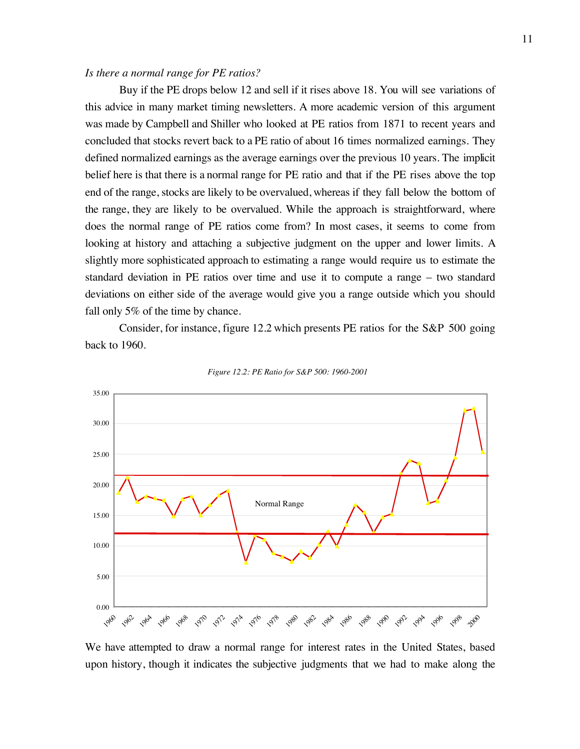#### *Is there a normal range for PE ratios?*

Buy if the PE drops below 12 and sell if it rises above 18. You will see variations of this advice in many market timing newsletters. A more academic version of this argument was made by Campbell and Shiller who looked at PE ratios from 1871 to recent years and concluded that stocks revert back to a PE ratio of about 16 times normalized earnings. They defined normalized earnings as the average earnings over the previous 10 years. The implicit belief here is that there is a normal range for PE ratio and that if the PE rises above the top end of the range, stocks are likely to be overvalued, whereas if they fall below the bottom of the range, they are likely to be overvalued. While the approach is straightforward, where does the normal range of PE ratios come from? In most cases, it seems to come from looking at history and attaching a subjective judgment on the upper and lower limits. A slightly more sophisticated approach to estimating a range would require us to estimate the standard deviation in PE ratios over time and use it to compute a range – two standard deviations on either side of the average would give you a range outside which you should fall only 5% of the time by chance.

Consider, for instance, figure 12.2 which presents PE ratios for the S&P 500 going back to 1960.



*Figure 12.2: PE Ratio for S&P 500: 1960-2001*

We have attempted to draw a normal range for interest rates in the United States, based upon history, though it indicates the subjective judgments that we had to make along the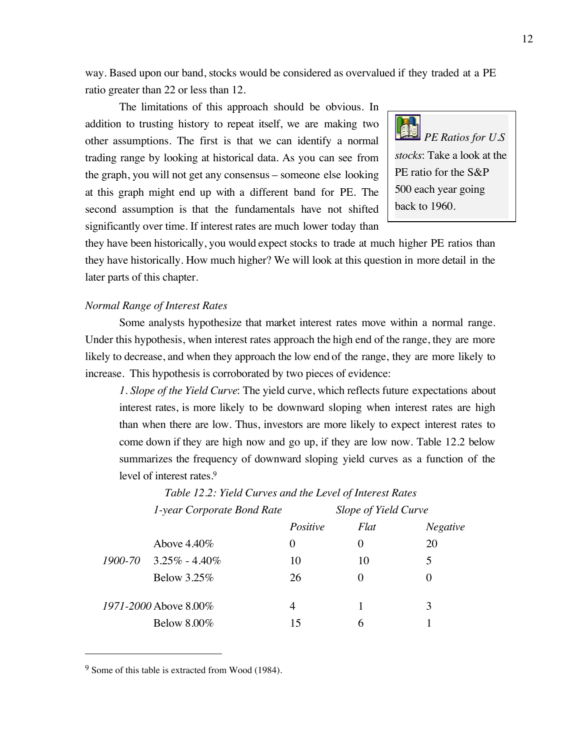way. Based upon our band, stocks would be considered as overvalued if they traded at a PE ratio greater than 22 or less than 12.

The limitations of this approach should be obvious. In addition to trusting history to repeat itself, we are making two other assumptions. The first is that we can identify a normal trading range by looking at historical data. As you can see from the graph, you will not get any consensus – someone else looking at this graph might end up with a different band for PE. The second assumption is that the fundamentals have not shifted significantly over time. If interest rates are much lower today than



PE ratio for the S&P 500 each year going back to 1960.

they have been historically, you would expect stocks to trade at much higher PE ratios than they have historically. How much higher? We will look at this question in more detail in the later parts of this chapter.

#### *Normal Range of Interest Rates*

Some analysts hypothesize that market interest rates move within a normal range. Under this hypothesis, when interest rates approach the high end of the range, they are more likely to decrease, and when they approach the low end of the range, they are more likely to increase. This hypothesis is corroborated by two pieces of evidence:

*1. Slope of the Yield Curve*: The yield curve, which reflects future expectations about interest rates, is more likely to be downward sloping when interest rates are high than when there are low. Thus, investors are more likely to expect interest rates to come down if they are high now and go up, if they are low now. Table 12.2 below summarizes the frequency of downward sloping yield curves as a function of the level of interest rates.9

## *Table 12.2: Yield Curves and the Level of Interest Rates 1-year Corporate Bond Rate Slope of Yield Curve*

|         |                       | Positive | Flat     | <b>Negative</b> |
|---------|-----------------------|----------|----------|-----------------|
|         | Above $4.40\%$        |          | O        | 20              |
| 1900-70 | $3.25\% - 4.40\%$     | 10       | 10       |                 |
|         | Below 3.25%           | 26       | $\theta$ |                 |
|         | 1971-2000 Above 8.00% | 4        |          |                 |
|         | <b>Below 8.00%</b>    | 15       |          |                 |

 $9$  Some of this table is extracted from Wood (1984).

 $\overline{a}$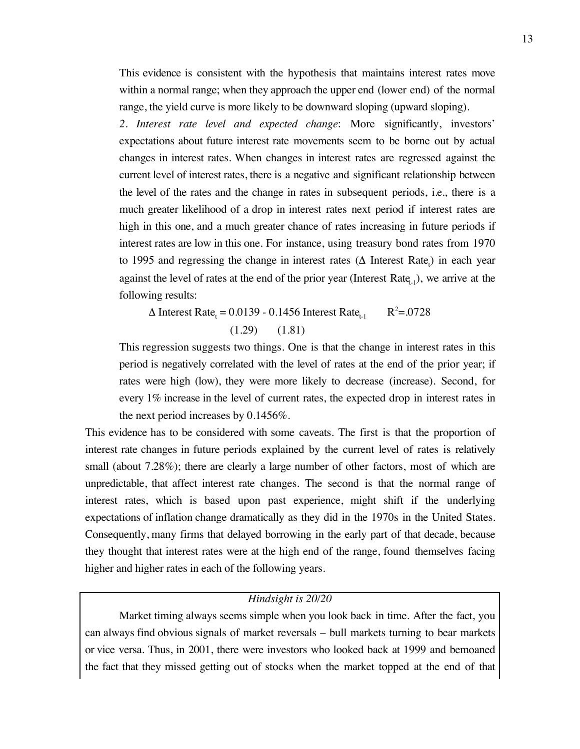This evidence is consistent with the hypothesis that maintains interest rates move within a normal range; when they approach the upper end (lower end) of the normal range, the yield curve is more likely to be downward sloping (upward sloping).

*2. Interest rate level and expected change*: More significantly, investors' expectations about future interest rate movements seem to be borne out by actual changes in interest rates. When changes in interest rates are regressed against the current level of interest rates, there is a negative and significant relationship between the level of the rates and the change in rates in subsequent periods, i.e., there is a much greater likelihood of a drop in interest rates next period if interest rates are high in this one, and a much greater chance of rates increasing in future periods if interest rates are low in this one. For instance, using treasury bond rates from 1970 to 1995 and regressing the change in interest rates ( $\Delta$  Interest Rate<sub>t</sub>) in each year against the level of rates at the end of the prior year (Interest Rate,  $_1$ ), we arrive at the following results:

 $\Delta$  Interest Rate<sub>t</sub> = 0.0139 - 0.1456 Interest Rate<sub>t-1</sub> R<sup>2</sup>  $R^2 = 0728$ (1.29) (1.81)

This regression suggests two things. One is that the change in interest rates in this period is negatively correlated with the level of rates at the end of the prior year; if rates were high (low), they were more likely to decrease (increase). Second, for every 1% increase in the level of current rates, the expected drop in interest rates in the next period increases by 0.1456%.

This evidence has to be considered with some caveats. The first is that the proportion of interest rate changes in future periods explained by the current level of rates is relatively small (about 7.28%); there are clearly a large number of other factors, most of which are unpredictable, that affect interest rate changes. The second is that the normal range of interest rates, which is based upon past experience, might shift if the underlying expectations of inflation change dramatically as they did in the 1970s in the United States. Consequently, many firms that delayed borrowing in the early part of that decade, because they thought that interest rates were at the high end of the range, found themselves facing higher and higher rates in each of the following years.

### *Hindsight is 20/20*

Market timing always seems simple when you look back in time. After the fact, you can always find obvious signals of market reversals – bull markets turning to bear markets or vice versa. Thus, in 2001, there were investors who looked back at 1999 and bemoaned the fact that they missed getting out of stocks when the market topped at the end of that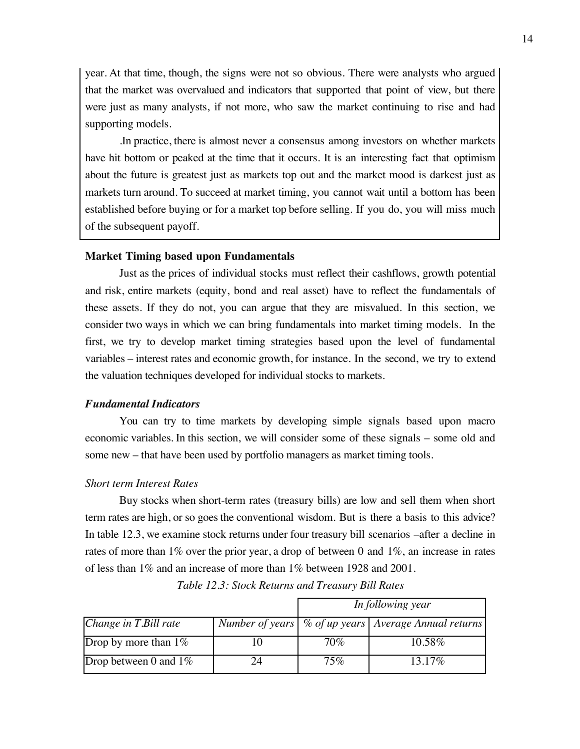year. At that time, though, the signs were not so obvious. There were analysts who argued that the market was overvalued and indicators that supported that point of view, but there were just as many analysts, if not more, who saw the market continuing to rise and had supporting models.

.In practice, there is almost never a consensus among investors on whether markets have hit bottom or peaked at the time that it occurs. It is an interesting fact that optimism about the future is greatest just as markets top out and the market mood is darkest just as markets turn around. To succeed at market timing, you cannot wait until a bottom has been established before buying or for a market top before selling. If you do, you will miss much of the subsequent payoff.

#### **Market Timing based upon Fundamentals**

Just as the prices of individual stocks must reflect their cashflows, growth potential and risk, entire markets (equity, bond and real asset) have to reflect the fundamentals of these assets. If they do not, you can argue that they are misvalued. In this section, we consider two ways in which we can bring fundamentals into market timing models. In the first, we try to develop market timing strategies based upon the level of fundamental variables – interest rates and economic growth, for instance. In the second, we try to extend the valuation techniques developed for individual stocks to markets.

#### *Fundamental Indicators*

You can try to time markets by developing simple signals based upon macro economic variables. In this section, we will consider some of these signals – some old and some new – that have been used by portfolio managers as market timing tools.

### *Short term Interest Rates*

Buy stocks when short-term rates (treasury bills) are low and sell them when short term rates are high, or so goes the conventional wisdom. But is there a basis to this advice? In table 12.3, we examine stock returns under four treasury bill scenarios –after a decline in rates of more than 1% over the prior year, a drop of between 0 and 1%, an increase in rates of less than 1% and an increase of more than 1% between 1928 and 2001.

|                          |     | In following year                                        |
|--------------------------|-----|----------------------------------------------------------|
| Change in T.Bill rate    |     | Number of years   % of up years   Average Annual returns |
| Drop by more than $1\%$  | 70% | 10.58%                                                   |
| Drop between 0 and $1\%$ | 75% | $13.17\%$                                                |

*Table 12.3: Stock Returns and Treasury Bill Rates*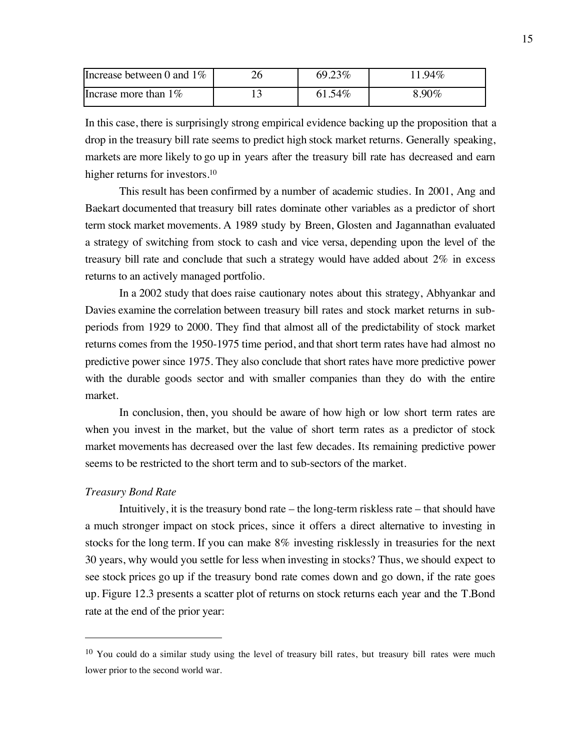| Increase between 0 and $1\%$ | 69.23%    | 94%   |
|------------------------------|-----------|-------|
| Incrase more than $1\%$      | 54%<br>61 | 8.90% |

In this case, there is surprisingly strong empirical evidence backing up the proposition that a drop in the treasury bill rate seems to predict high stock market returns. Generally speaking, markets are more likely to go up in years after the treasury bill rate has decreased and earn higher returns for investors.<sup>10</sup>

This result has been confirmed by a number of academic studies. In 2001, Ang and Baekart documented that treasury bill rates dominate other variables as a predictor of short term stock market movements. A 1989 study by Breen, Glosten and Jagannathan evaluated a strategy of switching from stock to cash and vice versa, depending upon the level of the treasury bill rate and conclude that such a strategy would have added about 2% in excess returns to an actively managed portfolio.

In a 2002 study that does raise cautionary notes about this strategy, Abhyankar and Davies examine the correlation between treasury bill rates and stock market returns in subperiods from 1929 to 2000. They find that almost all of the predictability of stock market returns comes from the 1950-1975 time period, and that short term rates have had almost no predictive power since 1975. They also conclude that short rates have more predictive power with the durable goods sector and with smaller companies than they do with the entire market.

In conclusion, then, you should be aware of how high or low short term rates are when you invest in the market, but the value of short term rates as a predictor of stock market movements has decreased over the last few decades. Its remaining predictive power seems to be restricted to the short term and to sub-sectors of the market.

### *Treasury Bond Rate*

 $\overline{a}$ 

Intuitively, it is the treasury bond rate – the long-term riskless rate – that should have a much stronger impact on stock prices, since it offers a direct alternative to investing in stocks for the long term. If you can make 8% investing risklessly in treasuries for the next 30 years, why would you settle for less when investing in stocks? Thus, we should expect to see stock prices go up if the treasury bond rate comes down and go down, if the rate goes up. Figure 12.3 presents a scatter plot of returns on stock returns each year and the T.Bond rate at the end of the prior year:

<sup>&</sup>lt;sup>10</sup> You could do a similar study using the level of treasury bill rates, but treasury bill rates were much lower prior to the second world war.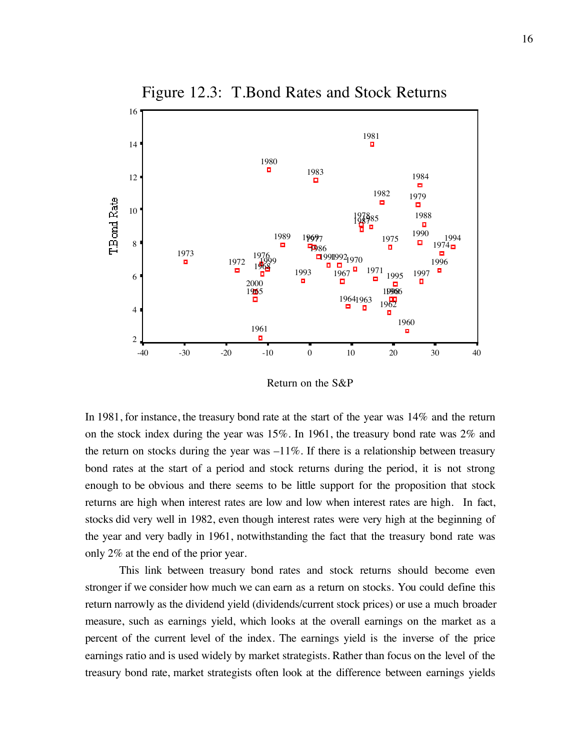

Figure 12.3: T.Bond Rates and Stock Returns

Return on the S&P

In 1981, for instance, the treasury bond rate at the start of the year was 14% and the return on the stock index during the year was 15%. In 1961, the treasury bond rate was 2% and the return on stocks during the year was  $-11\%$ . If there is a relationship between treasury bond rates at the start of a period and stock returns during the period, it is not strong enough to be obvious and there seems to be little support for the proposition that stock returns are high when interest rates are low and low when interest rates are high. In fact, stocks did very well in 1982, even though interest rates were very high at the beginning of the year and very badly in 1961, notwithstanding the fact that the treasury bond rate was only 2% at the end of the prior year.

This link between treasury bond rates and stock returns should become even stronger if we consider how much we can earn as a return on stocks. You could define this return narrowly as the dividend yield (dividends/current stock prices) or use a much broader measure, such as earnings yield, which looks at the overall earnings on the market as a percent of the current level of the index. The earnings yield is the inverse of the price earnings ratio and is used widely by market strategists. Rather than focus on the level of the treasury bond rate, market strategists often look at the difference between earnings yields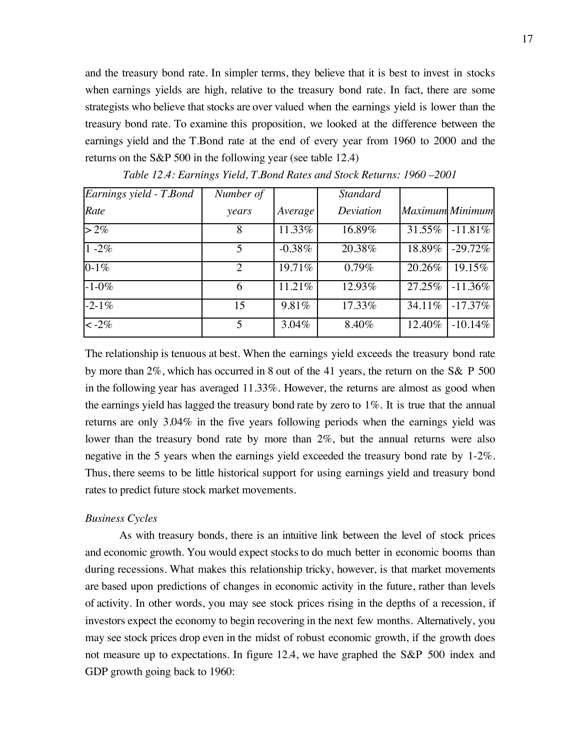and the treasury bond rate. In simpler terms, they believe that it is best to invest in stocks when earnings yields are high, relative to the treasury bond rate. In fact, there are some strategists who believe that stocks are over valued when the earnings yield is lower than the treasury bond rate. To examine this proposition, we looked at the difference between the earnings yield and the T.Bond rate at the end of every year from 1960 to 2000 and the returns on the S&P 500 in the following year (see table 12.4)

| Earnings yield - T.Bond | $\overline{\text{Number of}}$ |          | <b>Standard</b> |                 |            |
|-------------------------|-------------------------------|----------|-----------------|-----------------|------------|
| Rate                    | years                         | Average  | Deviation       | Maximum Minimum |            |
| $> 2\%$                 | 8                             | 11.33%   | 16.89%          | 31.55%          | $-11.81\%$ |
| $1 - 2\%$               | 5                             | $-0.38%$ | 20.38%          | 18.89%          | $-29.72\%$ |
| $0-1%$                  | $\overline{2}$                | 19.71%   | $0.79\%$        | 20.26%          | 19.15%     |
| $-1 - 0\%$              | 6                             | 11.21%   | 12.93%          | 27.25%          | $-11.36\%$ |
| $-2 - 1\%$              | 15                            | 9.81%    | 17.33%          | 34.11%          | $-17.37\%$ |
| $\lt -2\%$              | $\overline{\mathcal{L}}$      | 3.04%    | 8.40%           | 12.40%          | $-10.14\%$ |

*Table 12.4: Earnings Yield, T.Bond Rates and Stock Returns: 1960 –2001*

The relationship is tenuous at best. When the earnings yield exceeds the treasury bond rate by more than 2%, which has occurred in 8 out of the 41 years, the return on the S& P 500 in the following year has averaged 11.33%. However, the returns are almost as good when the earnings yield has lagged the treasury bond rate by zero to 1%. It is true that the annual returns are only 3.04% in the five years following periods when the earnings yield was lower than the treasury bond rate by more than 2%, but the annual returns were also negative in the 5 years when the earnings yield exceeded the treasury bond rate by 1-2%. Thus, there seems to be little historical support for using earnings yield and treasury bond rates to predict future stock market movements.

#### *Business Cycles*

As with treasury bonds, there is an intuitive link between the level of stock prices and economic growth. You would expect stocks to do much better in economic booms than during recessions. What makes this relationship tricky, however, is that market movements are based upon predictions of changes in economic activity in the future, rather than levels of activity. In other words, you may see stock prices rising in the depths of a recession, if investors expect the economy to begin recovering in the next few months. Alternatively, you may see stock prices drop even in the midst of robust economic growth, if the growth does not measure up to expectations. In figure 12.4, we have graphed the S&P 500 index and GDP growth going back to 1960: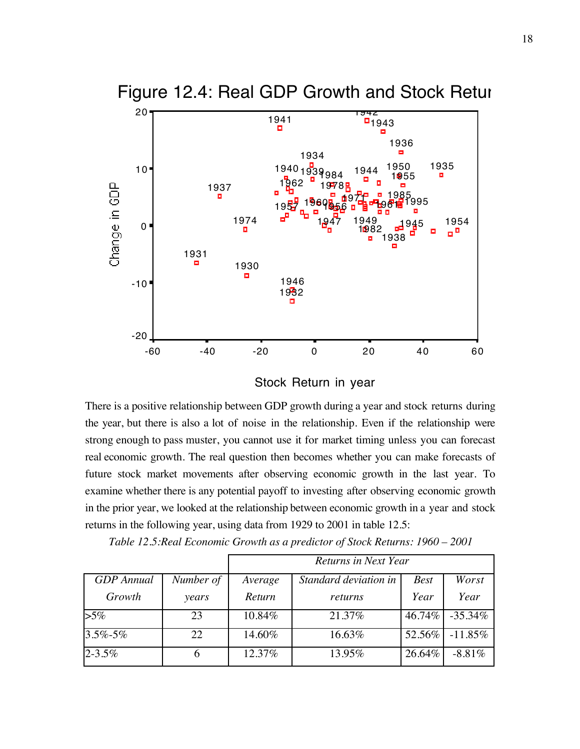

Figure 12.4: Real GDP Growth and Stock Retur

### Stock Return in year

There is a positive relationship between GDP growth during a year and stock returns during the year, but there is also a lot of noise in the relationship. Even if the relationship were strong enough to pass muster, you cannot use it for market timing unless you can forecast real economic growth. The real question then becomes whether you can make forecasts of future stock market movements after observing economic growth in the last year. To examine whether there is any potential payoff to investing after observing economic growth in the prior year, we looked at the relationship between economic growth in a year and stock returns in the following year, using data from 1929 to 2001 in table 12.5:

*Table 12.5:Real Economic Growth as a predictor of Stock Returns: 1960 – 2001*

|                   |           | Returns in Next Year |                       |             |            |  |
|-------------------|-----------|----------------------|-----------------------|-------------|------------|--|
| <b>GDP</b> Annual | Number of | Average              | Standard deviation in | <b>Best</b> | Worst      |  |
| Growth            | years     | Return               | returns               | Year        | Year       |  |
| $>5\%$            | 23        | 10.84%               | 21.37%                | $46.74\%$   | $-35.34\%$ |  |
| $3.5\% - 5\%$     | 22        | 14.60%               | 16.63%                | 52.56%      | $-11.85\%$ |  |
| $2 - 3.5\%$       | 6         | $12.37\%$            | 13.95%                | 26.64%      | $-8.81\%$  |  |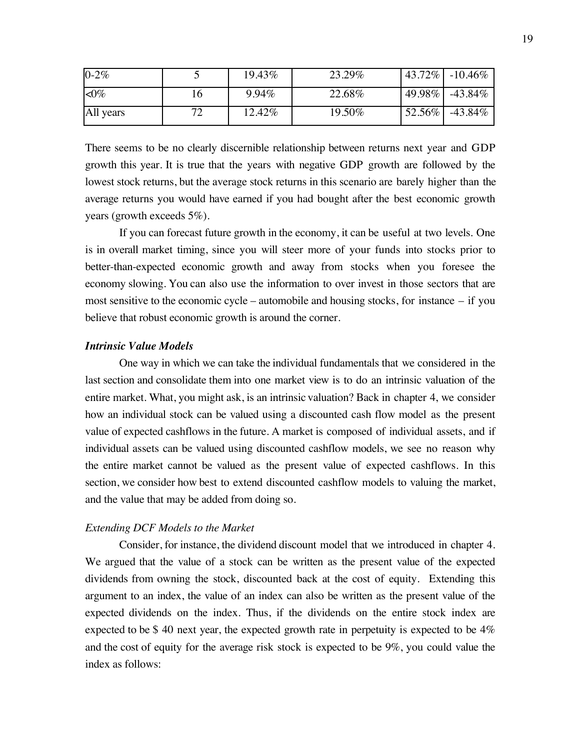| $0 - 2\%$  |               | 19.43% | 23.29% | $43.72\%$ | -10.46%    |
|------------|---------------|--------|--------|-----------|------------|
| $\leq 0\%$ |               | 9.94%  | 22.68% | 49.98%    | -43.84%    |
| All years  | $\mathcal{L}$ | 12.42% | 19.50% | 52.56%    | $-43.84\%$ |

There seems to be no clearly discernible relationship between returns next year and GDP growth this year. It is true that the years with negative GDP growth are followed by the lowest stock returns, but the average stock returns in this scenario are barely higher than the average returns you would have earned if you had bought after the best economic growth years (growth exceeds 5%).

If you can forecast future growth in the economy, it can be useful at two levels. One is in overall market timing, since you will steer more of your funds into stocks prior to better-than-expected economic growth and away from stocks when you foresee the economy slowing. You can also use the information to over invest in those sectors that are most sensitive to the economic cycle – automobile and housing stocks, for instance – if you believe that robust economic growth is around the corner.

#### *Intrinsic Value Models*

One way in which we can take the individual fundamentals that we considered in the last section and consolidate them into one market view is to do an intrinsic valuation of the entire market. What, you might ask, is an intrinsic valuation? Back in chapter 4, we consider how an individual stock can be valued using a discounted cash flow model as the present value of expected cashflows in the future. A market is composed of individual assets, and if individual assets can be valued using discounted cashflow models, we see no reason why the entire market cannot be valued as the present value of expected cashflows. In this section, we consider how best to extend discounted cashflow models to valuing the market, and the value that may be added from doing so.

#### *Extending DCF Models to the Market*

Consider, for instance, the dividend discount model that we introduced in chapter 4. We argued that the value of a stock can be written as the present value of the expected dividends from owning the stock, discounted back at the cost of equity. Extending this argument to an index, the value of an index can also be written as the present value of the expected dividends on the index. Thus, if the dividends on the entire stock index are expected to be \$40 next year, the expected growth rate in perpetuity is expected to be 4% and the cost of equity for the average risk stock is expected to be 9%, you could value the index as follows: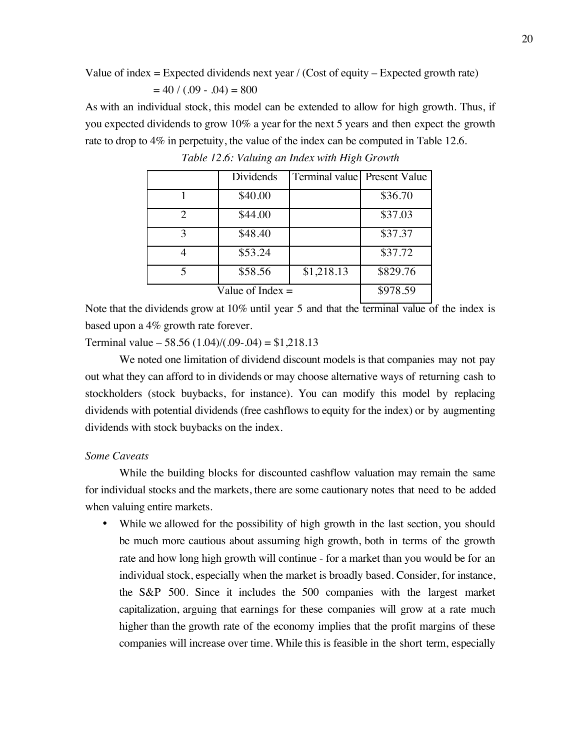Value of index  $=$  Expected dividends next year / (Cost of equity  $-$  Expected growth rate)  $= 40 / (.09 - .04) = 800$ 

As with an individual stock, this model can be extended to allow for high growth. Thus, if you expected dividends to grow 10% a year for the next 5 years and then expect the growth rate to drop to 4% in perpetuity, the value of the index can be computed in Table 12.6.

|                    | Dividends | Terminal value Present Value |          |
|--------------------|-----------|------------------------------|----------|
|                    | \$40.00   |                              | \$36.70  |
|                    | \$44.00   |                              | \$37.03  |
| 3                  | \$48.40   |                              | \$37.37  |
|                    | \$53.24   |                              | \$37.72  |
|                    | \$58.56   | \$1,218.13                   | \$829.76 |
| Value of Index $=$ | \$978.59  |                              |          |

*Table 12.6: Valuing an Index with High Growth*

Note that the dividends grow at 10% until year 5 and that the terminal value of the index is based upon a 4% growth rate forever.

Terminal value – 58.56  $(1.04)/(0.09-0.04) = $1,218.13$ 

We noted one limitation of dividend discount models is that companies may not pay out what they can afford to in dividends or may choose alternative ways of returning cash to stockholders (stock buybacks, for instance). You can modify this model by replacing dividends with potential dividends (free cashflows to equity for the index) or by augmenting dividends with stock buybacks on the index.

#### *Some Caveats*

While the building blocks for discounted cashflow valuation may remain the same for individual stocks and the markets, there are some cautionary notes that need to be added when valuing entire markets.

• While we allowed for the possibility of high growth in the last section, you should be much more cautious about assuming high growth, both in terms of the growth rate and how long high growth will continue - for a market than you would be for an individual stock, especially when the market is broadly based. Consider, for instance, the S&P 500. Since it includes the 500 companies with the largest market capitalization, arguing that earnings for these companies will grow at a rate much higher than the growth rate of the economy implies that the profit margins of these companies will increase over time. While this is feasible in the short term, especially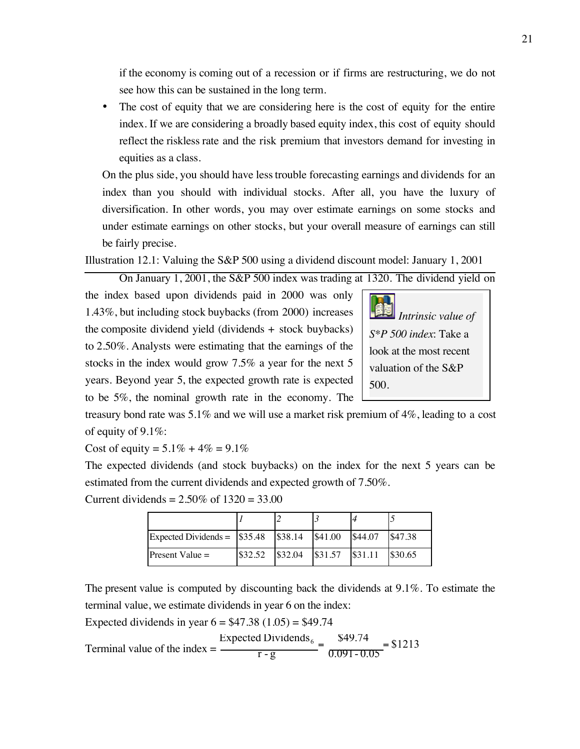if the economy is coming out of a recession or if firms are restructuring, we do not see how this can be sustained in the long term.

• The cost of equity that we are considering here is the cost of equity for the entire index. If we are considering a broadly based equity index, this cost of equity should reflect the riskless rate and the risk premium that investors demand for investing in equities as a class.

On the plus side, you should have less trouble forecasting earnings and dividends for an index than you should with individual stocks. After all, you have the luxury of diversification. In other words, you may over estimate earnings on some stocks and under estimate earnings on other stocks, but your overall measure of earnings can still be fairly precise.

Illustration 12.1: Valuing the S&P 500 using a dividend discount model: January 1, 2001

On January 1, 2001, the S&P 500 index was trading at 1320. The dividend yield on the index based upon dividends paid in 2000 was only 1.43%, but including stock buybacks (from 2000) increases the composite dividend yield (dividends + stock buybacks) to 2.50%. Analysts were estimating that the earnings of the stocks in the index would grow 7.5% a year for the next 5 years. Beyond year 5, the expected growth rate is expected to be 5%, the nominal growth rate in the economy. The



treasury bond rate was 5.1% and we will use a market risk premium of 4%, leading to a cost of equity of 9.1%:

Cost of equity =  $5.1\% + 4\% = 9.1\%$ 

The expected dividends (and stock buybacks) on the index for the next 5 years can be estimated from the current dividends and expected growth of 7.50%.

| Expected Dividends = $\$\frac{35.48}{\$}\$ \$38.14 |         |         | \$41.00 | \$44.07 | \$47.38 |
|----------------------------------------------------|---------|---------|---------|---------|---------|
| Present Value $=$                                  | \$32.52 | \$32.04 | \$31.57 | \$31.11 | \$30.65 |

Current dividends =  $2.50\%$  of  $1320 = 33.00$ 

The present value is computed by discounting back the dividends at 9.1%. To estimate the terminal value, we estimate dividends in year 6 on the index:

Expected dividends in year  $6 = $47.38 (1.05) = $49.74$ 

Terminal value of the index  $=$   $\frac{\text{Lapected Dividings}}{r-g} = \frac{\text{mJ3}}{0.091 - 0.05} = \$1213$ \$49.74 r - g Expected Dividends6 <sup>=</sup> <sup>=</sup>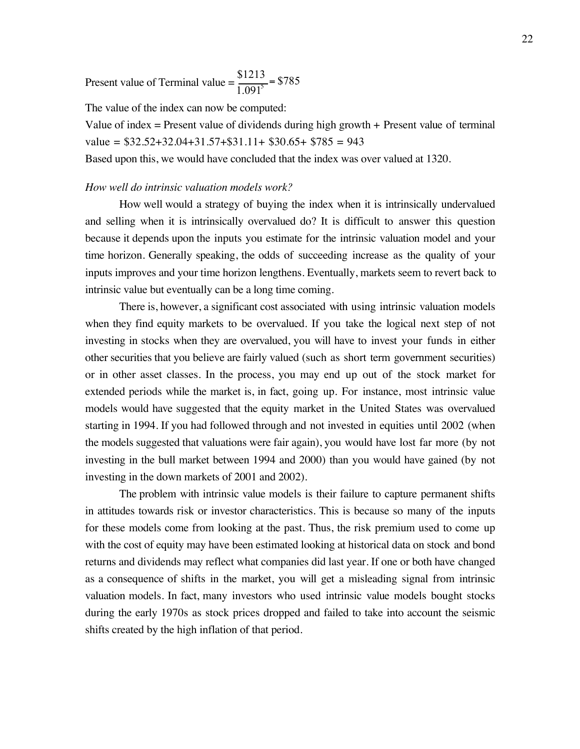Present value of Terminal value  $=$   $\frac{$1215}{$1.091^5}$  = \$785 \$1213  $\frac{5}{5}$  =

The value of the index can now be computed:

Value of index  $=$  Present value of dividends during high growth  $+$  Present value of terminal  $value = $32.52+32.04+31.57+\$31.11+ \$30.65+ \$785 = 943$ 

Based upon this, we would have concluded that the index was over valued at 1320.

#### *How well do intrinsic valuation models work?*

How well would a strategy of buying the index when it is intrinsically undervalued and selling when it is intrinsically overvalued do? It is difficult to answer this question because it depends upon the inputs you estimate for the intrinsic valuation model and your time horizon. Generally speaking, the odds of succeeding increase as the quality of your inputs improves and your time horizon lengthens. Eventually, markets seem to revert back to intrinsic value but eventually can be a long time coming.

There is, however, a significant cost associated with using intrinsic valuation models when they find equity markets to be overvalued. If you take the logical next step of not investing in stocks when they are overvalued, you will have to invest your funds in either other securities that you believe are fairly valued (such as short term government securities) or in other asset classes. In the process, you may end up out of the stock market for extended periods while the market is, in fact, going up. For instance, most intrinsic value models would have suggested that the equity market in the United States was overvalued starting in 1994. If you had followed through and not invested in equities until 2002 (when the models suggested that valuations were fair again), you would have lost far more (by not investing in the bull market between 1994 and 2000) than you would have gained (by not investing in the down markets of 2001 and 2002).

The problem with intrinsic value models is their failure to capture permanent shifts in attitudes towards risk or investor characteristics. This is because so many of the inputs for these models come from looking at the past. Thus, the risk premium used to come up with the cost of equity may have been estimated looking at historical data on stock and bond returns and dividends may reflect what companies did last year. If one or both have changed as a consequence of shifts in the market, you will get a misleading signal from intrinsic valuation models. In fact, many investors who used intrinsic value models bought stocks during the early 1970s as stock prices dropped and failed to take into account the seismic shifts created by the high inflation of that period.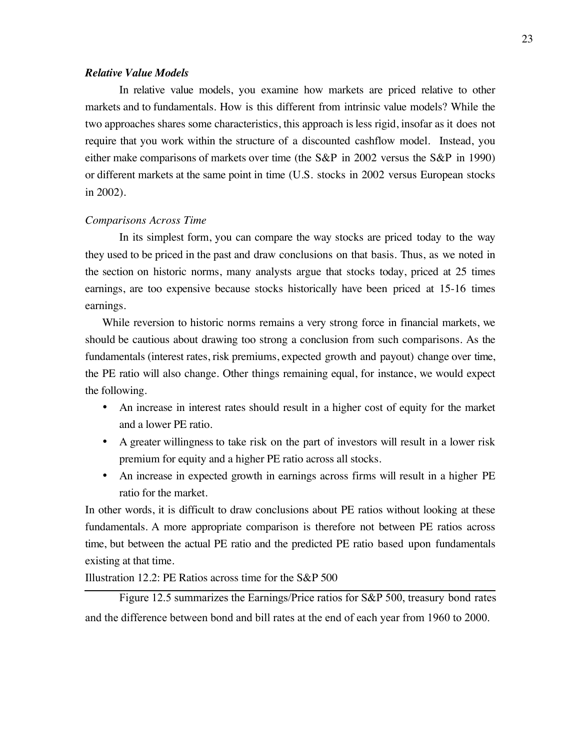#### *Relative Value Models*

In relative value models, you examine how markets are priced relative to other markets and to fundamentals. How is this different from intrinsic value models? While the two approaches shares some characteristics, this approach is less rigid, insofar as it does not require that you work within the structure of a discounted cashflow model. Instead, you either make comparisons of markets over time (the S&P in 2002 versus the S&P in 1990) or different markets at the same point in time (U.S. stocks in 2002 versus European stocks in 2002).

#### *Comparisons Across Time*

In its simplest form, you can compare the way stocks are priced today to the way they used to be priced in the past and draw conclusions on that basis. Thus, as we noted in the section on historic norms, many analysts argue that stocks today, priced at 25 times earnings, are too expensive because stocks historically have been priced at 15-16 times earnings.

While reversion to historic norms remains a very strong force in financial markets, we should be cautious about drawing too strong a conclusion from such comparisons. As the fundamentals (interest rates, risk premiums, expected growth and payout) change over time, the PE ratio will also change. Other things remaining equal, for instance, we would expect the following.

- An increase in interest rates should result in a higher cost of equity for the market and a lower PE ratio.
- A greater willingness to take risk on the part of investors will result in a lower risk premium for equity and a higher PE ratio across all stocks.
- An increase in expected growth in earnings across firms will result in a higher PE ratio for the market.

In other words, it is difficult to draw conclusions about PE ratios without looking at these fundamentals. A more appropriate comparison is therefore not between PE ratios across time, but between the actual PE ratio and the predicted PE ratio based upon fundamentals existing at that time.

Illustration 12.2: PE Ratios across time for the S&P 500

Figure 12.5 summarizes the Earnings/Price ratios for S&P 500, treasury bond rates and the difference between bond and bill rates at the end of each year from 1960 to 2000.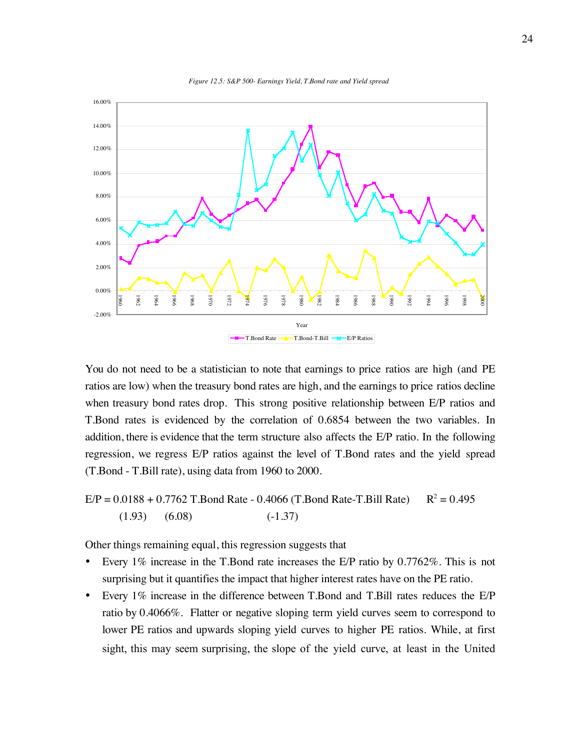

*Figure 12.5: S&P 500- Earnings Yield, T.Bond rate and Yield spread*

You do not need to be a statistician to note that earnings to price ratios are high (and PE ratios are low) when the treasury bond rates are high, and the earnings to price ratios decline when treasury bond rates drop. This strong positive relationship between E/P ratios and T.Bond rates is evidenced by the correlation of 0.6854 between the two variables. In addition, there is evidence that the term structure also affects the E/P ratio. In the following regression, we regress E/P ratios against the level of T.Bond rates and the yield spread (T.Bond - T.Bill rate), using data from 1960 to 2000.

 $E/P = 0.0188 + 0.7762$  T.Bond Rate - 0.4066 (T.Bond Rate-T.Bill Rate)  $R^2 = 0.495$  $(1.93)$   $(6.08)$   $(-1.37)$ 

Other things remaining equal, this regression suggests that

- Every  $1\%$  increase in the T.Bond rate increases the E/P ratio by 0.7762%. This is not surprising but it quantifies the impact that higher interest rates have on the PE ratio.
- Every 1% increase in the difference between T.Bond and T.Bill rates reduces the E/P ratio by 0.4066%. Flatter or negative sloping term yield curves seem to correspond to lower PE ratios and upwards sloping yield curves to higher PE ratios. While, at first sight, this may seem surprising, the slope of the yield curve, at least in the United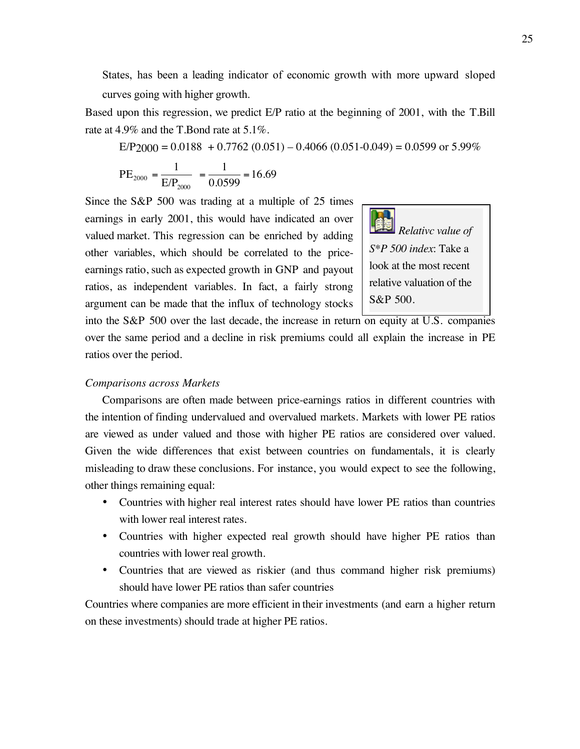States, has been a leading indicator of economic growth with more upward sloped curves going with higher growth.

Based upon this regression, we predict E/P ratio at the beginning of 2001, with the T.Bill rate at 4.9% and the T.Bond rate at 5.1%.

 $E/P2000 = 0.0188 + 0.7762 (0.051) - 0.4066 (0.051 - 0.049) = 0.0599$  or 5.99%

$$
PE_{2000} = \frac{1}{E/P_{2000}} = \frac{1}{0.0599} = 16.69
$$

Since the S&P 500 was trading at a multiple of 25 times earnings in early 2001, this would have indicated an over valued market. This regression can be enriched by adding other variables, which should be correlated to the priceearnings ratio, such as expected growth in GNP and payout ratios, as independent variables. In fact, a fairly strong argument can be made that the influx of technology stocks



into the S&P 500 over the last decade, the increase in return on equity at U.S. companies over the same period and a decline in risk premiums could all explain the increase in PE ratios over the period.

#### *Comparisons across Markets*

Comparisons are often made between price-earnings ratios in different countries with the intention of finding undervalued and overvalued markets. Markets with lower PE ratios are viewed as under valued and those with higher PE ratios are considered over valued. Given the wide differences that exist between countries on fundamentals, it is clearly misleading to draw these conclusions. For instance, you would expect to see the following, other things remaining equal:

- Countries with higher real interest rates should have lower PE ratios than countries with lower real interest rates.
- Countries with higher expected real growth should have higher PE ratios than countries with lower real growth.
- Countries that are viewed as riskier (and thus command higher risk premiums) should have lower PE ratios than safer countries

Countries where companies are more efficient in their investments (and earn a higher return on these investments) should trade at higher PE ratios.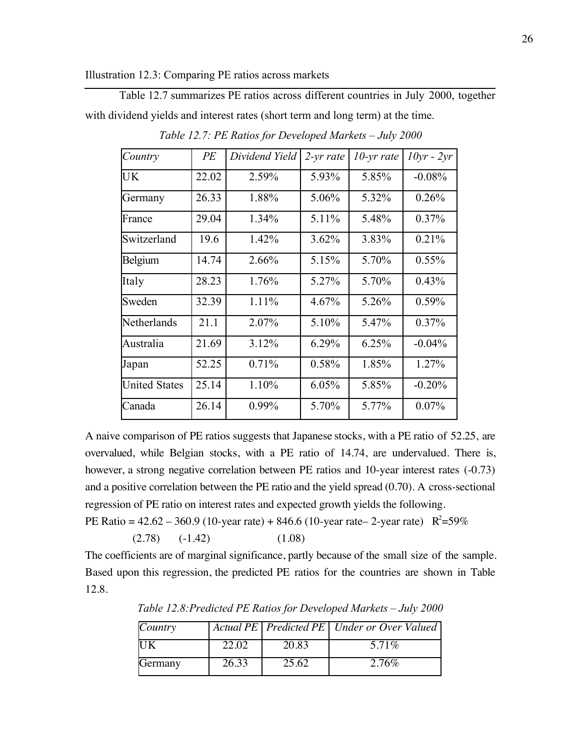Illustration 12.3: Comparing PE ratios across markets

Table 12.7 summarizes PE ratios across different countries in July 2000, together with dividend yields and interest rates (short term and long term) at the time.

| Country              | PE    | Dividend Yield | $2$ -yr rate | $10$ -yr rate | $10yr - 2yr$ |
|----------------------|-------|----------------|--------------|---------------|--------------|
| UK                   | 22.02 | 2.59%          | 5.93%        | 5.85%         | $-0.08%$     |
| Germany              | 26.33 | 1.88%          | 5.06%        | 5.32%         | 0.26%        |
| France               | 29.04 | 1.34%          | 5.11%        | 5.48%         | $0.37\%$     |
| Switzerland          | 19.6  | 1.42%          | 3.62%        | 3.83%         | 0.21%        |
| Belgium              | 14.74 | 2.66%          | 5.15%        | 5.70%         | $0.55\%$     |
| Italy                | 28.23 | 1.76%          | 5.27%        | 5.70%         | $0.43\%$     |
| Sweden               | 32.39 | $1.11\%$       | 4.67%        | 5.26%         | $0.59\%$     |
| Netherlands          | 21.1  | 2.07%          | 5.10%        | 5.47%         | 0.37%        |
| Australia            | 21.69 | 3.12%          | 6.29%        | 6.25%         | $-0.04\%$    |
| Japan                | 52.25 | 0.71%          | 0.58%        | 1.85%         | 1.27%        |
| <b>United States</b> | 25.14 | 1.10%          | 6.05%        | 5.85%         | $-0.20%$     |
| Canada               | 26.14 | $0.99\%$       | 5.70%        | 5.77%         | $0.07\%$     |

*Table 12.7: PE Ratios for Developed Markets – July 2000*

A naive comparison of PE ratios suggests that Japanese stocks, with a PE ratio of 52.25, are overvalued, while Belgian stocks, with a PE ratio of 14.74, are undervalued. There is, however, a strong negative correlation between PE ratios and 10-year interest rates  $(-0.73)$ and a positive correlation between the PE ratio and the yield spread (0.70). A cross-sectional regression of PE ratio on interest rates and expected growth yields the following. PE Ratio =  $42.62 - 360.9$  (10-year rate) + 846.6 (10-year rate–2-year rate)  $R^2 = 59\%$ 

 $(2.78)$   $(-1.42)$   $(1.08)$ 

The coefficients are of marginal significance, partly because of the small size of the sample. Based upon this regression, the predicted PE ratios for the countries are shown in Table 12.8.

*Table 12.8:Predicted PE Ratios for Developed Markets – July 2000*

| Country |       |       | Actual PE   Predicted PE   Under or Over Valued |
|---------|-------|-------|-------------------------------------------------|
|         | 22.02 | 20.83 | 5.71%                                           |
| Germany | 26.33 | 25.62 | $2.76\%$                                        |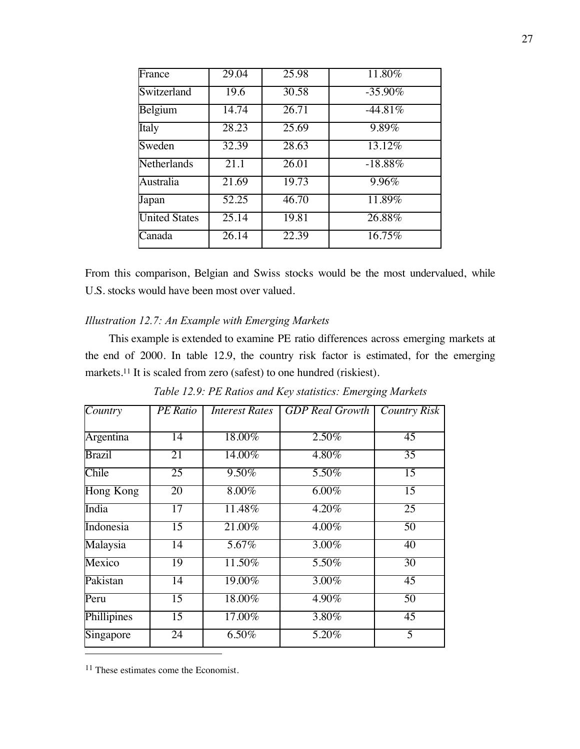| France               | 29.04 | 25.98 | 11.80%     |
|----------------------|-------|-------|------------|
| Switzerland          | 19.6  | 30.58 | $-35.90\%$ |
| Belgium              | 14.74 | 26.71 | $-44.81\%$ |
| Italy                | 28.23 | 25.69 | 9.89%      |
| Sweden               | 32.39 | 28.63 | 13.12%     |
| Netherlands          | 21.1  | 26.01 | $-18.88\%$ |
| Australia            | 21.69 | 19.73 | 9.96%      |
| Japan                | 52.25 | 46.70 | 11.89%     |
| <b>United States</b> | 25.14 | 19.81 | 26.88%     |
| Canada               | 26.14 | 22.39 | 16.75%     |

From this comparison, Belgian and Swiss stocks would be the most undervalued, while U.S. stocks would have been most over valued.

## *Illustration 12.7: An Example with Emerging Markets*

This example is extended to examine PE ratio differences across emerging markets at the end of 2000. In table 12.9, the country risk factor is estimated, for the emerging markets.<sup>11</sup> It is scaled from zero (safest) to one hundred (riskiest).

| $\overline{Country}$ | <b>PE</b> Ratio | <b>Interest Rates</b> | <b>GDP</b> Real Growth | <b>Country Risk</b> |
|----------------------|-----------------|-----------------------|------------------------|---------------------|
| Argentina            | 14              | 18.00%                | 2.50%                  | 45                  |
| <b>Brazil</b>        | 21              | 14.00%                | 4.80%                  | 35                  |
| Chile                | 25              | 9.50%                 | 5.50%                  | 15                  |
| <b>Hong Kong</b>     | 20              | 8.00%                 | $6.00\%$               | 15                  |
| India                | $\overline{17}$ | 11.48%                | 4.20%                  | 25                  |
| Indonesia            | 15              | 21.00%                | 4.00%                  | 50                  |
| Malaysia             | $\overline{14}$ | 5.67%                 | 3.00%                  | 40                  |
| Mexico               | 19              | 11.50%                | 5.50%                  | 30                  |
| Pakistan             | $\overline{14}$ | 19.00%                | 3.00%                  | 45                  |
| Peru                 | 15              | 18.00%                | 4.90%                  | 50                  |
| Phillipines          | 15              | 17.00%                | 3.80%                  | 45                  |
| Singapore            | 24              | 6.50%                 | 5.20%                  | 5                   |
|                      |                 |                       |                        |                     |

*Table 12.9: PE Ratios and Key statistics: Emerging Markets*

<sup>11</sup> These estimates come the Economist.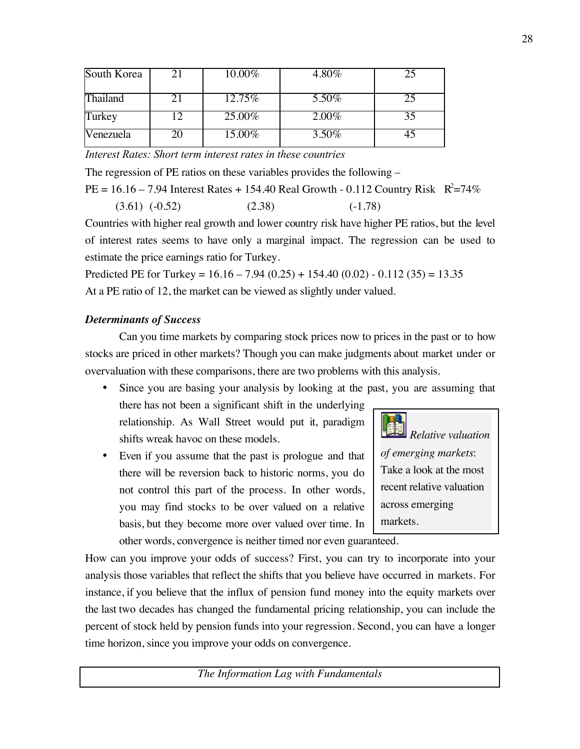| South Korea |                | 10.00% | 4.80% | 25 |
|-------------|----------------|--------|-------|----|
| Thailand    |                | 12.75% | 5.50% | 25 |
| Turkey      | $\overline{2}$ | 25.00% | 2.00% | 35 |
| Venezuela   | 20.            | 15.00% | 3.50% |    |

*Interest Rates: Short term interest rates in these countries*

The regression of PE ratios on these variables provides the following –

PE = 
$$
16.16 - 7.94
$$
 Interest Rates + 154.40 Real Growth - 0.112 Country Risk  $R^2 = 74\%$ 

$$
(3.61) (-0.52) \t(2.38) \t(-1.78)
$$

Countries with higher real growth and lower country risk have higher PE ratios, but the level of interest rates seems to have only a marginal impact. The regression can be used to estimate the price earnings ratio for Turkey.

Predicted PE for Turkey =  $16.16 - 7.94 (0.25) + 154.40 (0.02) - 0.112 (35) = 13.35$ At a PE ratio of 12, the market can be viewed as slightly under valued.

## *Determinants of Success*

Can you time markets by comparing stock prices now to prices in the past or to how stocks are priced in other markets? Though you can make judgments about market under or overvaluation with these comparisons, there are two problems with this analysis.

- Since you are basing your analysis by looking at the past, you are assuming that there has not been a significant shift in the underlying relationship. As Wall Street would put it, paradigm shifts wreak havoc on these models.
- Even if you assume that the past is prologue and that there will be reversion back to historic norms, you do not control this part of the process. In other words, you may find stocks to be over valued on a relative basis, but they become more over valued over time. In other words, convergence is neither timed nor even guaranteed.

How can you improve your odds of success? First, you can try to incorporate into your analysis those variables that reflect the shifts that you believe have occurred in markets. For instance, if you believe that the influx of pension fund money into the equity markets over the last two decades has changed the fundamental pricing relationship, you can include the percent of stock held by pension funds into your regression. Second, you can have a longer time horizon, since you improve your odds on convergence.

*The Information Lag with Fundamentals*

*Relative valuation of emerging markets*: Take a look at the most recent relative valuation across emerging markets.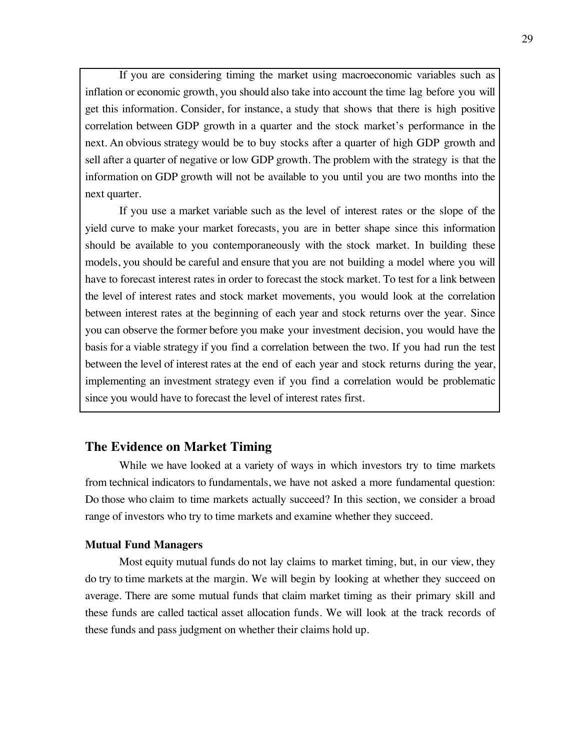If you are considering timing the market using macroeconomic variables such as inflation or economic growth, you should also take into account the time lag before you will get this information. Consider, for instance, a study that shows that there is high positive correlation between GDP growth in a quarter and the stock market's performance in the next. An obvious strategy would be to buy stocks after a quarter of high GDP growth and sell after a quarter of negative or low GDP growth. The problem with the strategy is that the information on GDP growth will not be available to you until you are two months into the next quarter.

If you use a market variable such as the level of interest rates or the slope of the yield curve to make your market forecasts, you are in better shape since this information should be available to you contemporaneously with the stock market. In building these models, you should be careful and ensure that you are not building a model where you will have to forecast interest rates in order to forecast the stock market. To test for a link between the level of interest rates and stock market movements, you would look at the correlation between interest rates at the beginning of each year and stock returns over the year. Since you can observe the former before you make your investment decision, you would have the basis for a viable strategy if you find a correlation between the two. If you had run the test between the level of interest rates at the end of each year and stock returns during the year, implementing an investment strategy even if you find a correlation would be problematic since you would have to forecast the level of interest rates first.

## **The Evidence on Market Timing**

While we have looked at a variety of ways in which investors try to time markets from technical indicators to fundamentals, we have not asked a more fundamental question: Do those who claim to time markets actually succeed? In this section, we consider a broad range of investors who try to time markets and examine whether they succeed.

#### **Mutual Fund Managers**

Most equity mutual funds do not lay claims to market timing, but, in our view, they do try to time markets at the margin. We will begin by looking at whether they succeed on average. There are some mutual funds that claim market timing as their primary skill and these funds are called tactical asset allocation funds. We will look at the track records of these funds and pass judgment on whether their claims hold up.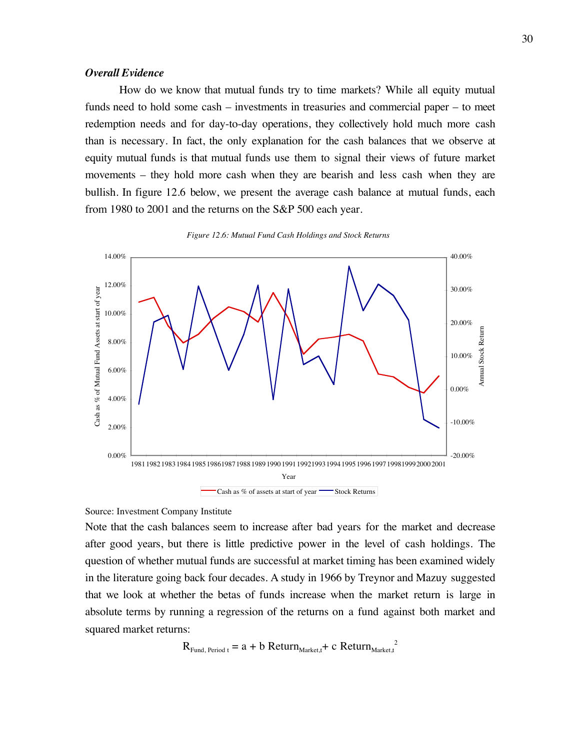#### *Overall Evidence*

How do we know that mutual funds try to time markets? While all equity mutual funds need to hold some cash – investments in treasuries and commercial paper – to meet redemption needs and for day-to-day operations, they collectively hold much more cash than is necessary. In fact, the only explanation for the cash balances that we observe at equity mutual funds is that mutual funds use them to signal their views of future market movements – they hold more cash when they are bearish and less cash when they are bullish. In figure 12.6 below, we present the average cash balance at mutual funds, each from 1980 to 2001 and the returns on the S&P 500 each year.





#### Source: Investment Company Institute

Note that the cash balances seem to increase after bad years for the market and decrease after good years, but there is little predictive power in the level of cash holdings. The question of whether mutual funds are successful at market timing has been examined widely in the literature going back four decades. A study in 1966 by Treynor and Mazuy suggested that we look at whether the betas of funds increase when the market return is large in absolute terms by running a regression of the returns on a fund against both market and squared market returns:

$$
R_{\text{Fund, Period t}} = a + b \text{ Return}_{\text{Market, t}} + c \text{ Return}_{\text{Market, t}}^2
$$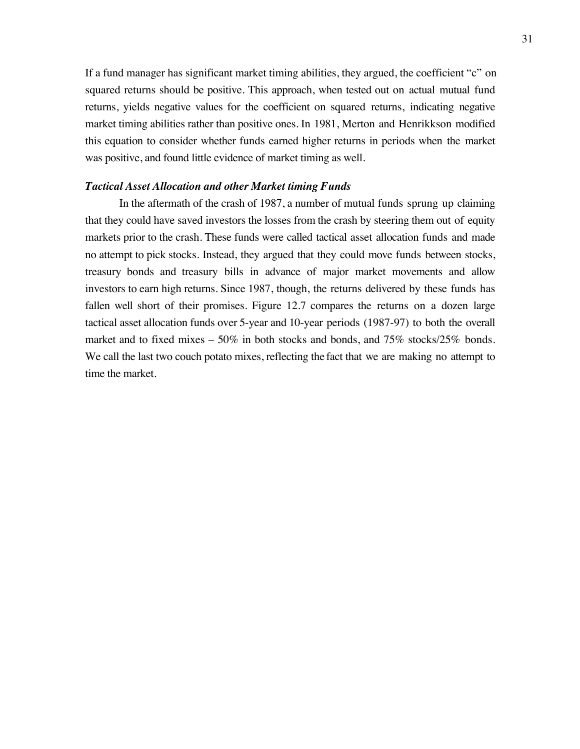If a fund manager has significant market timing abilities, they argued, the coefficient "c" on squared returns should be positive. This approach, when tested out on actual mutual fund returns, yields negative values for the coefficient on squared returns, indicating negative market timing abilities rather than positive ones. In 1981, Merton and Henrikkson modified this equation to consider whether funds earned higher returns in periods when the market was positive, and found little evidence of market timing as well.

### *Tactical Asset Allocation and other Market timing Funds*

In the aftermath of the crash of 1987, a number of mutual funds sprung up claiming that they could have saved investors the losses from the crash by steering them out of equity markets prior to the crash. These funds were called tactical asset allocation funds and made no attempt to pick stocks. Instead, they argued that they could move funds between stocks, treasury bonds and treasury bills in advance of major market movements and allow investors to earn high returns. Since 1987, though, the returns delivered by these funds has fallen well short of their promises. Figure 12.7 compares the returns on a dozen large tactical asset allocation funds over 5-year and 10-year periods (1987-97) to both the overall market and to fixed mixes – 50% in both stocks and bonds, and 75% stocks/25% bonds. We call the last two couch potato mixes, reflecting the fact that we are making no attempt to time the market.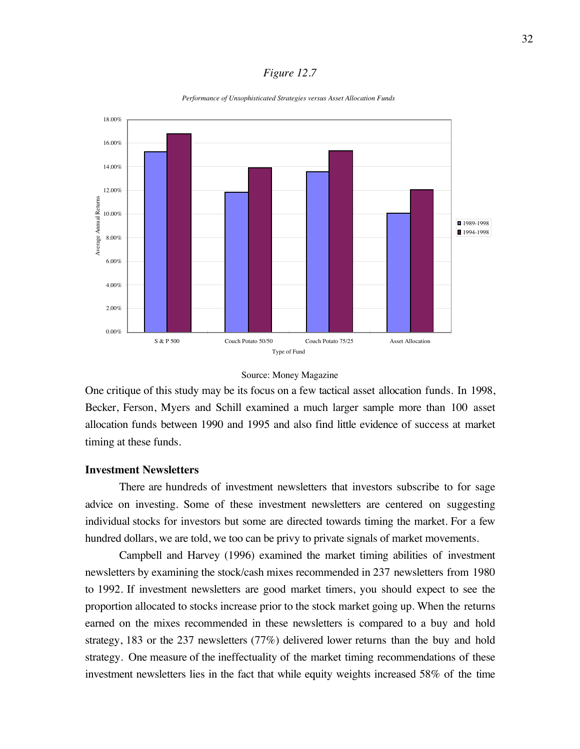#### *Figure 12.7*



#### *Performance of Unsophisticated Strategies versus Asset Allocation Funds*

#### Source: Money Magazine

One critique of this study may be its focus on a few tactical asset allocation funds. In 1998, Becker, Ferson, Myers and Schill examined a much larger sample more than 100 asset allocation funds between 1990 and 1995 and also find little evidence of success at market timing at these funds.

#### **Investment Newsletters**

There are hundreds of investment newsletters that investors subscribe to for sage advice on investing. Some of these investment newsletters are centered on suggesting individual stocks for investors but some are directed towards timing the market. For a few hundred dollars, we are told, we too can be privy to private signals of market movements.

Campbell and Harvey (1996) examined the market timing abilities of investment newsletters by examining the stock/cash mixes recommended in 237 newsletters from 1980 to 1992. If investment newsletters are good market timers, you should expect to see the proportion allocated to stocks increase prior to the stock market going up. When the returns earned on the mixes recommended in these newsletters is compared to a buy and hold strategy, 183 or the 237 newsletters (77%) delivered lower returns than the buy and hold strategy. One measure of the ineffectuality of the market timing recommendations of these investment newsletters lies in the fact that while equity weights increased 58% of the time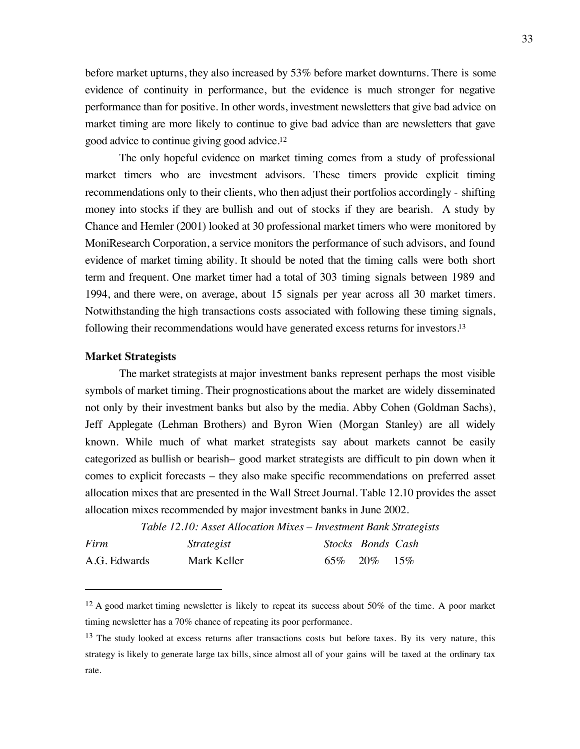before market upturns, they also increased by 53% before market downturns. There is some evidence of continuity in performance, but the evidence is much stronger for negative performance than for positive. In other words, investment newsletters that give bad advice on market timing are more likely to continue to give bad advice than are newsletters that gave good advice to continue giving good advice.12

The only hopeful evidence on market timing comes from a study of professional market timers who are investment advisors. These timers provide explicit timing recommendations only to their clients, who then adjust their portfolios accordingly - shifting money into stocks if they are bullish and out of stocks if they are bearish. A study by Chance and Hemler (2001) looked at 30 professional market timers who were monitored by MoniResearch Corporation, a service monitors the performance of such advisors, and found evidence of market timing ability. It should be noted that the timing calls were both short term and frequent. One market timer had a total of 303 timing signals between 1989 and 1994, and there were, on average, about 15 signals per year across all 30 market timers. Notwithstanding the high transactions costs associated with following these timing signals, following their recommendations would have generated excess returns for investors.13

#### **Market Strategists**

 $\overline{a}$ 

The market strategists at major investment banks represent perhaps the most visible symbols of market timing. Their prognostications about the market are widely disseminated not only by their investment banks but also by the media. Abby Cohen (Goldman Sachs), Jeff Applegate (Lehman Brothers) and Byron Wien (Morgan Stanley) are all widely known. While much of what market strategists say about markets cannot be easily categorized as bullish or bearish– good market strategists are difficult to pin down when it comes to explicit forecasts – they also make specific recommendations on preferred asset allocation mixes that are presented in the Wall Street Journal. Table 12.10 provides the asset allocation mixes recommended by major investment banks in June 2002.

*Table 12.10: Asset Allocation Mixes – Investment Bank Strategists*

| Firm         | Strategist  | Stocks Bonds Cash |  |
|--------------|-------------|-------------------|--|
| A.G. Edwards | Mark Keller | 65\% 20\% 15\%    |  |

 $12$  A good market timing newsletter is likely to repeat its success about 50% of the time. A poor market timing newsletter has a 70% chance of repeating its poor performance.

<sup>&</sup>lt;sup>13</sup> The study looked at excess returns after transactions costs but before taxes. By its very nature, this strategy is likely to generate large tax bills, since almost all of your gains will be taxed at the ordinary tax rate.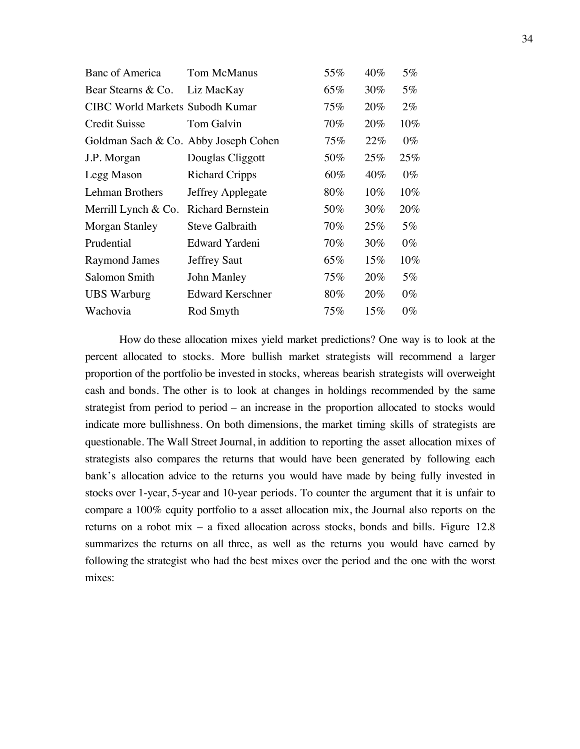| <b>Banc of America</b>                 | <b>Tom McManus</b>      | 55%    | 40%    | $5\%$ |
|----------------------------------------|-------------------------|--------|--------|-------|
| Bear Stearns & Co.                     | Liz MacKay              | 65%    | 30%    | 5%    |
| <b>CIBC World Markets Subodh Kumar</b> |                         | 75%    | 20%    | $2\%$ |
| Credit Suisse                          | Tom Galvin              | 70%    | 20%    | 10%   |
| Goldman Sach & Co. Abby Joseph Cohen   |                         | 75%    | 22%    | $0\%$ |
| J.P. Morgan                            | Douglas Cliggott        | 50%    | 25%    | 25%   |
| Legg Mason                             | <b>Richard Cripps</b>   | $60\%$ | $40\%$ | $0\%$ |
| Lehman Brothers                        | Jeffrey Applegate       | 80%    | 10%    | 10%   |
| Merrill Lynch $& Co.$                  | Richard Bernstein       | 50%    | 30%    | 20%   |
| Morgan Stanley                         | <b>Steve Galbraith</b>  | 70%    | 25%    | $5\%$ |
| Prudential                             | <b>Edward Yardeni</b>   | 70%    | 30%    | $0\%$ |
| <b>Raymond James</b>                   | <b>Jeffrey Saut</b>     | 65%    | 15%    | 10%   |
| Salomon Smith                          | John Manley             | 75%    | 20%    | $5\%$ |
| <b>UBS</b> Warburg                     | <b>Edward Kerschner</b> | 80%    | 20%    | $0\%$ |
| Wachovia                               | Rod Smyth               | 75%    | 15%    | $0\%$ |

How do these allocation mixes yield market predictions? One way is to look at the percent allocated to stocks. More bullish market strategists will recommend a larger proportion of the portfolio be invested in stocks, whereas bearish strategists will overweight cash and bonds. The other is to look at changes in holdings recommended by the same strategist from period to period – an increase in the proportion allocated to stocks would indicate more bullishness. On both dimensions, the market timing skills of strategists are questionable. The Wall Street Journal, in addition to reporting the asset allocation mixes of strategists also compares the returns that would have been generated by following each bank's allocation advice to the returns you would have made by being fully invested in stocks over 1-year, 5-year and 10-year periods. To counter the argument that it is unfair to compare a 100% equity portfolio to a asset allocation mix, the Journal also reports on the returns on a robot mix – a fixed allocation across stocks, bonds and bills. Figure 12.8 summarizes the returns on all three, as well as the returns you would have earned by following the strategist who had the best mixes over the period and the one with the worst mixes: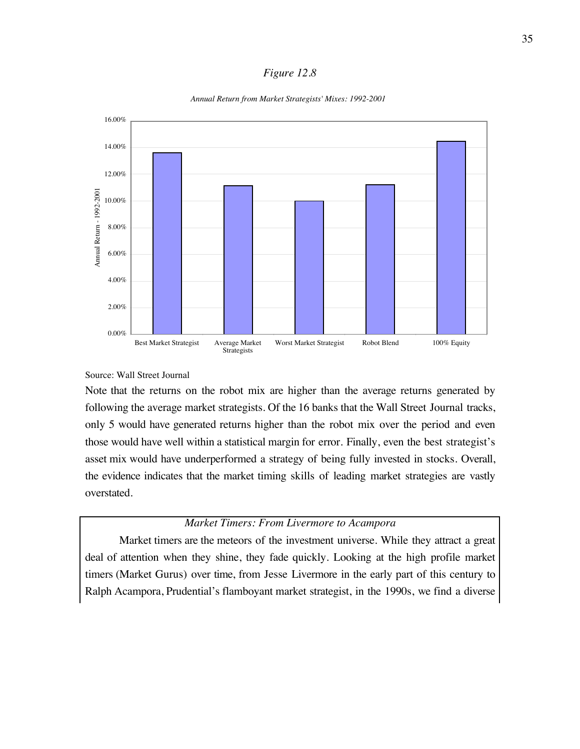### *Figure 12.8*



#### *Annual Return from Market Strategists' Mixes: 1992-2001*

#### Source: Wall Street Journal

Note that the returns on the robot mix are higher than the average returns generated by following the average market strategists. Of the 16 banks that the Wall Street Journal tracks, only 5 would have generated returns higher than the robot mix over the period and even those would have well within a statistical margin for error. Finally, even the best strategist's asset mix would have underperformed a strategy of being fully invested in stocks. Overall, the evidence indicates that the market timing skills of leading market strategies are vastly overstated.

## *Market Timers: From Livermore to Acampora*

Market timers are the meteors of the investment universe. While they attract a great deal of attention when they shine, they fade quickly. Looking at the high profile market timers (Market Gurus) over time, from Jesse Livermore in the early part of this century to Ralph Acampora, Prudential's flamboyant market strategist, in the 1990s, we find a diverse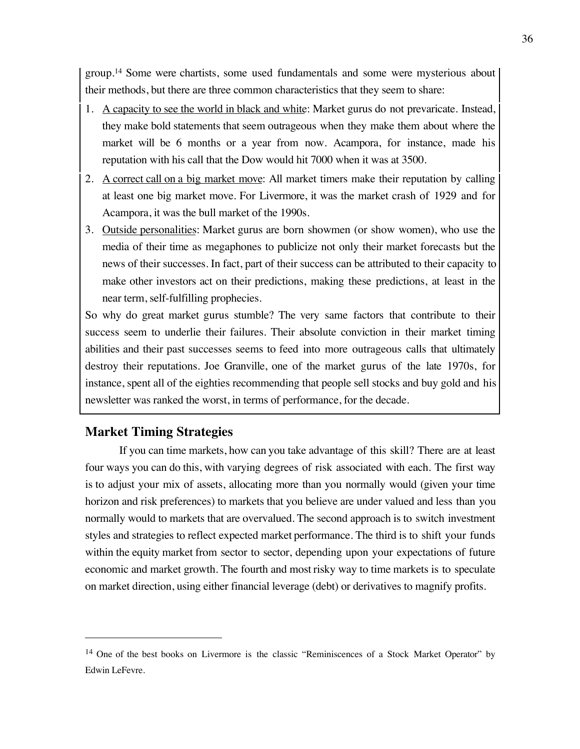group.14 Some were chartists, some used fundamentals and some were mysterious about their methods, but there are three common characteristics that they seem to share:

- 1. A capacity to see the world in black and white: Market gurus do not prevaricate. Instead, they make bold statements that seem outrageous when they make them about where the market will be 6 months or a year from now. Acampora, for instance, made his reputation with his call that the Dow would hit 7000 when it was at 3500.
- 2. A correct call on a big market move: All market timers make their reputation by calling at least one big market move. For Livermore, it was the market crash of 1929 and for Acampora, it was the bull market of the 1990s.
- 3. Outside personalities: Market gurus are born showmen (or show women), who use the media of their time as megaphones to publicize not only their market forecasts but the news of their successes. In fact, part of their success can be attributed to their capacity to make other investors act on their predictions, making these predictions, at least in the near term, self-fulfilling prophecies.

So why do great market gurus stumble? The very same factors that contribute to their success seem to underlie their failures. Their absolute conviction in their market timing abilities and their past successes seems to feed into more outrageous calls that ultimately destroy their reputations. Joe Granville, one of the market gurus of the late 1970s, for instance, spent all of the eighties recommending that people sell stocks and buy gold and his newsletter was ranked the worst, in terms of performance, for the decade.

# **Market Timing Strategies**

 $\overline{a}$ 

If you can time markets, how can you take advantage of this skill? There are at least four ways you can do this, with varying degrees of risk associated with each. The first way is to adjust your mix of assets, allocating more than you normally would (given your time horizon and risk preferences) to markets that you believe are under valued and less than you normally would to markets that are overvalued. The second approach is to switch investment styles and strategies to reflect expected market performance. The third is to shift your funds within the equity market from sector to sector, depending upon your expectations of future economic and market growth. The fourth and most risky way to time markets is to speculate on market direction, using either financial leverage (debt) or derivatives to magnify profits.

<sup>&</sup>lt;sup>14</sup> One of the best books on Livermore is the classic "Reminiscences of a Stock Market Operator" by Edwin LeFevre.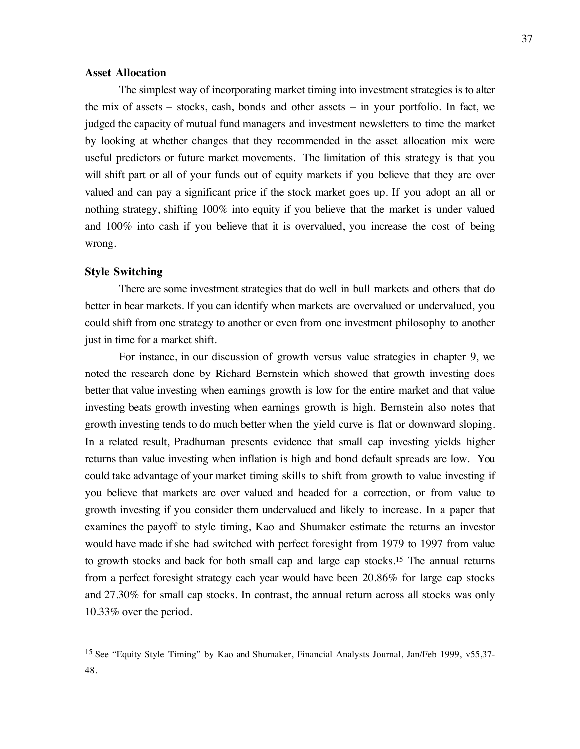#### **Asset Allocation**

The simplest way of incorporating market timing into investment strategies is to alter the mix of assets – stocks, cash, bonds and other assets – in your portfolio. In fact, we judged the capacity of mutual fund managers and investment newsletters to time the market by looking at whether changes that they recommended in the asset allocation mix were useful predictors or future market movements. The limitation of this strategy is that you will shift part or all of your funds out of equity markets if you believe that they are over valued and can pay a significant price if the stock market goes up. If you adopt an all or nothing strategy, shifting 100% into equity if you believe that the market is under valued and 100% into cash if you believe that it is overvalued, you increase the cost of being wrong.

### **Style Switching**

 $\overline{a}$ 

There are some investment strategies that do well in bull markets and others that do better in bear markets. If you can identify when markets are overvalued or undervalued, you could shift from one strategy to another or even from one investment philosophy to another just in time for a market shift.

For instance, in our discussion of growth versus value strategies in chapter 9, we noted the research done by Richard Bernstein which showed that growth investing does better that value investing when earnings growth is low for the entire market and that value investing beats growth investing when earnings growth is high. Bernstein also notes that growth investing tends to do much better when the yield curve is flat or downward sloping. In a related result, Pradhuman presents evidence that small cap investing yields higher returns than value investing when inflation is high and bond default spreads are low. You could take advantage of your market timing skills to shift from growth to value investing if you believe that markets are over valued and headed for a correction, or from value to growth investing if you consider them undervalued and likely to increase. In a paper that examines the payoff to style timing, Kao and Shumaker estimate the returns an investor would have made if she had switched with perfect foresight from 1979 to 1997 from value to growth stocks and back for both small cap and large cap stocks.15 The annual returns from a perfect foresight strategy each year would have been 20.86% for large cap stocks and 27.30% for small cap stocks. In contrast, the annual return across all stocks was only 10.33% over the period.

<sup>15</sup> See "Equity Style Timing" by Kao and Shumaker, Financial Analysts Journal, Jan/Feb 1999, v55,37- 48.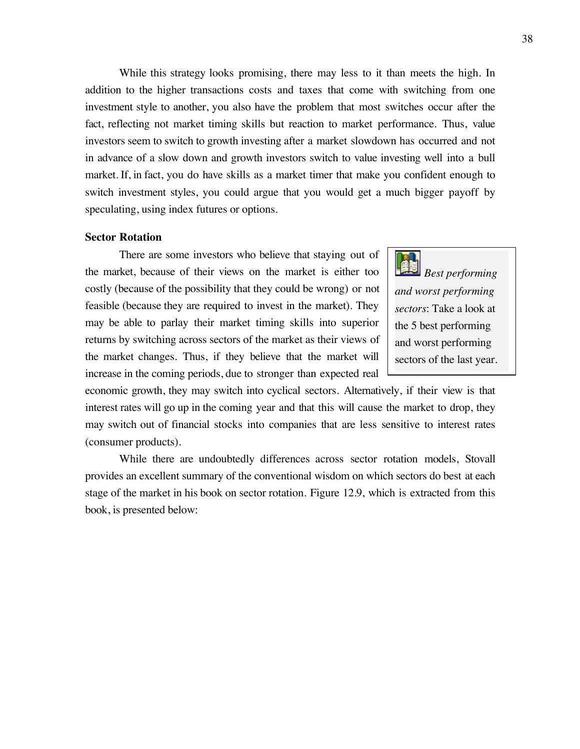While this strategy looks promising, there may less to it than meets the high. In addition to the higher transactions costs and taxes that come with switching from one investment style to another, you also have the problem that most switches occur after the fact, reflecting not market timing skills but reaction to market performance. Thus, value investors seem to switch to growth investing after a market slowdown has occurred and not in advance of a slow down and growth investors switch to value investing well into a bull market. If, in fact, you do have skills as a market timer that make you confident enough to switch investment styles, you could argue that you would get a much bigger payoff by speculating, using index futures or options.

#### **Sector Rotation**

There are some investors who believe that staying out of the market, because of their views on the market is either too costly (because of the possibility that they could be wrong) or not feasible (because they are required to invest in the market). They may be able to parlay their market timing skills into superior returns by switching across sectors of the market as their views of the market changes. Thus, if they believe that the market will increase in the coming periods, due to stronger than expected real

*Best performing and worst performing sectors*: Take a look at the 5 best performing

and worst performing

sectors of the last year. economic growth, they may switch into cyclical sectors. Alternatively, if their view is that interest rates will go up in the coming year and that this will cause the market to drop, they may switch out of financial stocks into companies that are less sensitive to interest rates

(consumer products).

While there are undoubtedly differences across sector rotation models, Stovall provides an excellent summary of the conventional wisdom on which sectors do best at each stage of the market in his book on sector rotation. Figure 12.9, which is extracted from this book, is presented below: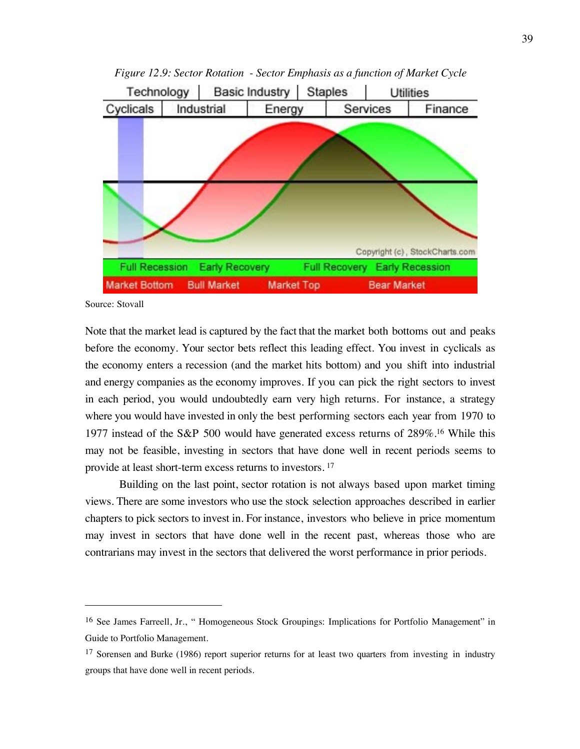

*Figure 12.9: Sector Rotation - Sector Emphasis as a function of Market Cycle*

Source: Stovall

 $\overline{a}$ 

Note that the market lead is captured by the fact that the market both bottoms out and peaks before the economy. Your sector bets reflect this leading effect. You invest in cyclicals as the economy enters a recession (and the market hits bottom) and you shift into industrial and energy companies as the economy improves. If you can pick the right sectors to invest in each period, you would undoubtedly earn very high returns. For instance, a strategy where you would have invested in only the best performing sectors each year from 1970 to 1977 instead of the S&P 500 would have generated excess returns of 289%.16 While this may not be feasible, investing in sectors that have done well in recent periods seems to provide at least short-term excess returns to investors. 17

Building on the last point, sector rotation is not always based upon market timing views. There are some investors who use the stock selection approaches described in earlier chapters to pick sectors to invest in. For instance, investors who believe in price momentum may invest in sectors that have done well in the recent past, whereas those who are contrarians may invest in the sectors that delivered the worst performance in prior periods.

<sup>16</sup> See James Farreell, Jr., " Homogeneous Stock Groupings: Implications for Portfolio Management" in Guide to Portfolio Management.

<sup>&</sup>lt;sup>17</sup> Sorensen and Burke (1986) report superior returns for at least two quarters from investing in industry groups that have done well in recent periods.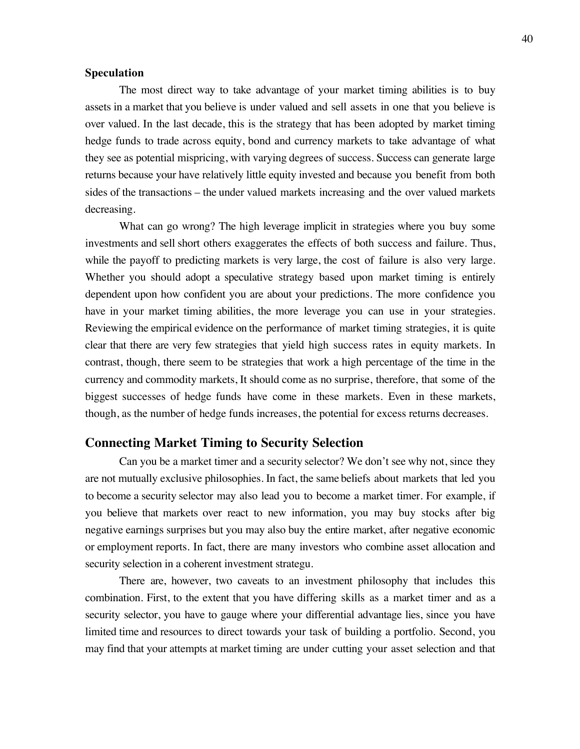### **Speculation**

The most direct way to take advantage of your market timing abilities is to buy assets in a market that you believe is under valued and sell assets in one that you believe is over valued. In the last decade, this is the strategy that has been adopted by market timing hedge funds to trade across equity, bond and currency markets to take advantage of what they see as potential mispricing, with varying degrees of success. Success can generate large returns because your have relatively little equity invested and because you benefit from both sides of the transactions – the under valued markets increasing and the over valued markets decreasing.

What can go wrong? The high leverage implicit in strategies where you buy some investments and sell short others exaggerates the effects of both success and failure. Thus, while the payoff to predicting markets is very large, the cost of failure is also very large. Whether you should adopt a speculative strategy based upon market timing is entirely dependent upon how confident you are about your predictions. The more confidence you have in your market timing abilities, the more leverage you can use in your strategies. Reviewing the empirical evidence on the performance of market timing strategies, it is quite clear that there are very few strategies that yield high success rates in equity markets. In contrast, though, there seem to be strategies that work a high percentage of the time in the currency and commodity markets, It should come as no surprise, therefore, that some of the biggest successes of hedge funds have come in these markets. Even in these markets, though, as the number of hedge funds increases, the potential for excess returns decreases.

## **Connecting Market Timing to Security Selection**

Can you be a market timer and a security selector? We don't see why not, since they are not mutually exclusive philosophies. In fact, the same beliefs about markets that led you to become a security selector may also lead you to become a market timer. For example, if you believe that markets over react to new information, you may buy stocks after big negative earnings surprises but you may also buy the entire market, after negative economic or employment reports. In fact, there are many investors who combine asset allocation and security selection in a coherent investment strategu.

There are, however, two caveats to an investment philosophy that includes this combination. First, to the extent that you have differing skills as a market timer and as a security selector, you have to gauge where your differential advantage lies, since you have limited time and resources to direct towards your task of building a portfolio. Second, you may find that your attempts at market timing are under cutting your asset selection and that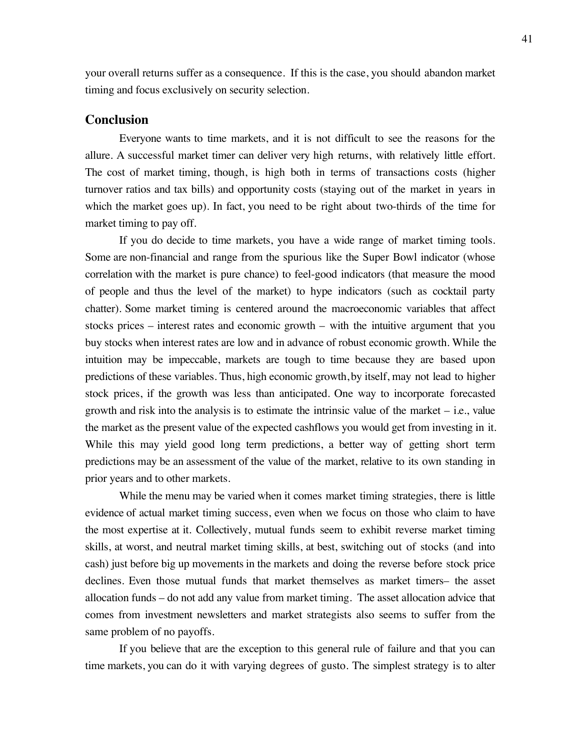your overall returns suffer as a consequence. If this is the case, you should abandon market timing and focus exclusively on security selection.

## **Conclusion**

Everyone wants to time markets, and it is not difficult to see the reasons for the allure. A successful market timer can deliver very high returns, with relatively little effort. The cost of market timing, though, is high both in terms of transactions costs (higher turnover ratios and tax bills) and opportunity costs (staying out of the market in years in which the market goes up). In fact, you need to be right about two-thirds of the time for market timing to pay off.

If you do decide to time markets, you have a wide range of market timing tools. Some are non-financial and range from the spurious like the Super Bowl indicator (whose correlation with the market is pure chance) to feel-good indicators (that measure the mood of people and thus the level of the market) to hype indicators (such as cocktail party chatter). Some market timing is centered around the macroeconomic variables that affect stocks prices – interest rates and economic growth – with the intuitive argument that you buy stocks when interest rates are low and in advance of robust economic growth. While the intuition may be impeccable, markets are tough to time because they are based upon predictions of these variables. Thus, high economic growth, by itself, may not lead to higher stock prices, if the growth was less than anticipated. One way to incorporate forecasted growth and risk into the analysis is to estimate the intrinsic value of the market  $-$  i.e., value the market as the present value of the expected cashflows you would get from investing in it. While this may yield good long term predictions, a better way of getting short term predictions may be an assessment of the value of the market, relative to its own standing in prior years and to other markets.

While the menu may be varied when it comes market timing strategies, there is little evidence of actual market timing success, even when we focus on those who claim to have the most expertise at it. Collectively, mutual funds seem to exhibit reverse market timing skills, at worst, and neutral market timing skills, at best, switching out of stocks (and into cash) just before big up movements in the markets and doing the reverse before stock price declines. Even those mutual funds that market themselves as market timers– the asset allocation funds – do not add any value from market timing. The asset allocation advice that comes from investment newsletters and market strategists also seems to suffer from the same problem of no payoffs.

If you believe that are the exception to this general rule of failure and that you can time markets, you can do it with varying degrees of gusto. The simplest strategy is to alter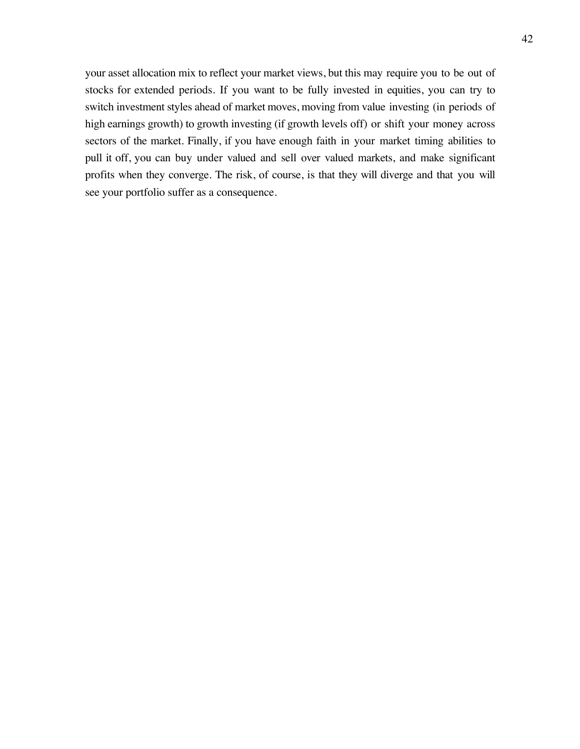your asset allocation mix to reflect your market views, but this may require you to be out of stocks for extended periods. If you want to be fully invested in equities, you can try to switch investment styles ahead of market moves, moving from value investing (in periods of high earnings growth) to growth investing (if growth levels off) or shift your money across sectors of the market. Finally, if you have enough faith in your market timing abilities to pull it off, you can buy under valued and sell over valued markets, and make significant profits when they converge. The risk, of course, is that they will diverge and that you will see your portfolio suffer as a consequence.